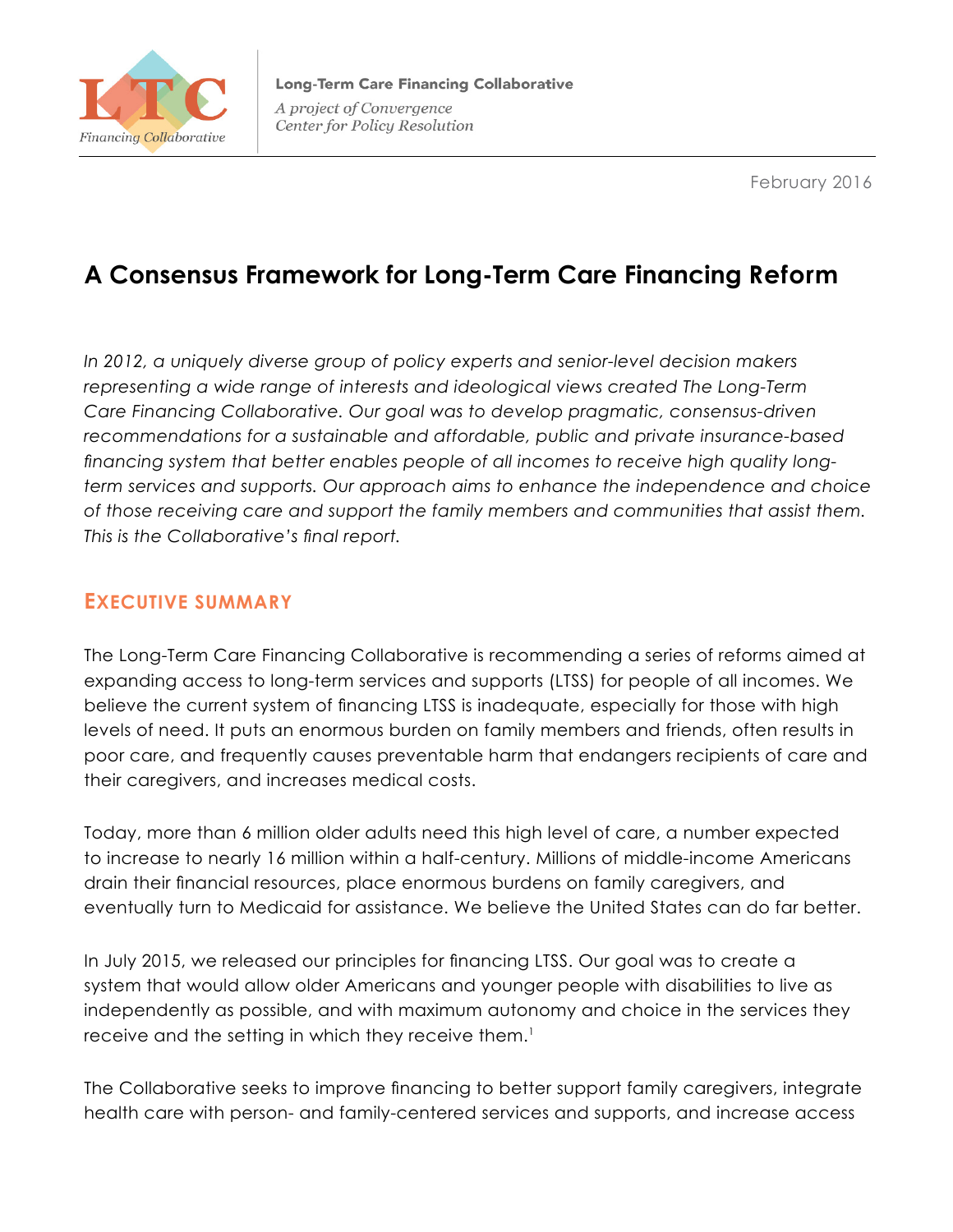

February 2016

# **A Consensus Framework for Long-Term Care Financing Reform**

*In 2012, a uniquely diverse group of policy experts and senior-level decision makers representing a wide range of interests and ideological views created The Long-Term Care Financing Collaborative. Our goal was to develop pragmatic, consensus-driven recommendations for a sustainable and affordable, public and private insurance-based financing system that better enables people of all incomes to receive high quality longterm services and supports. Our approach aims to enhance the independence and choice of those receiving care and support the family members and communities that assist them. This is the Collaborative's final report.*

# **EXECUTIVE SUMMARY**

The Long-Term Care Financing Collaborative is recommending a series of reforms aimed at expanding access to long-term services and supports (LTSS) for people of all incomes. We believe the current system of financing LTSS is inadequate, especially for those with high levels of need. It puts an enormous burden on family members and friends, often results in poor care, and frequently causes preventable harm that endangers recipients of care and their caregivers, and increases medical costs.

Today, more than 6 million older adults need this high level of care, a number expected to increase to nearly 16 million within a half-century. Millions of middle-income Americans drain their financial resources, place enormous burdens on family caregivers, and eventually turn to Medicaid for assistance. We believe the United States can do far better.

In July 2015, we released our principles for financing LTSS. Our goal was to create a system that would allow older Americans and younger people with disabilities to live as independently as possible, and with maximum autonomy and choice in the services they receive and the setting in which they receive them.<sup>1</sup>

The Collaborative seeks to improve financing to better support family caregivers, integrate health care with person- and family-centered services and supports, and increase access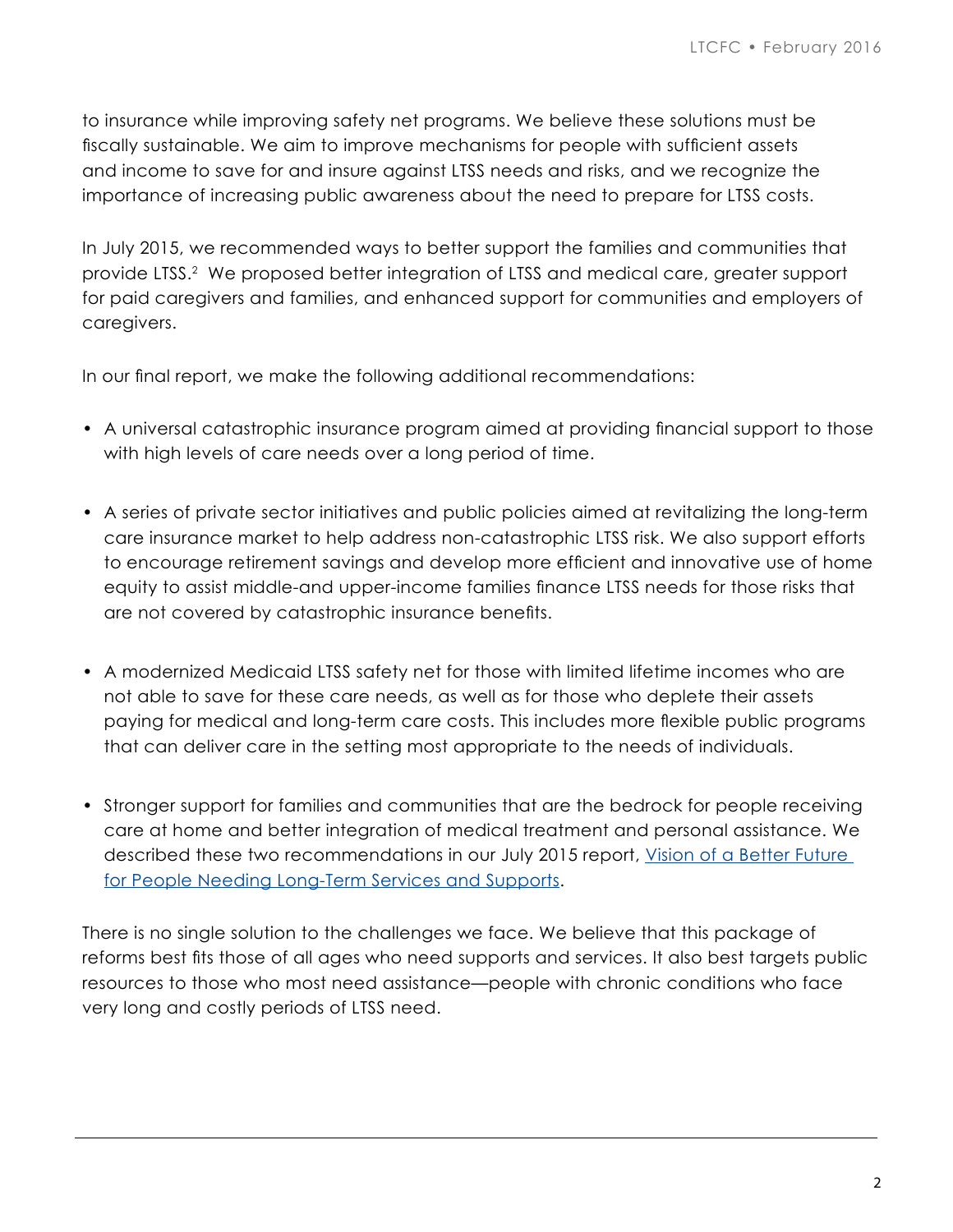to insurance while improving safety net programs. We believe these solutions must be fiscally sustainable. We aim to improve mechanisms for people with sufficient assets and income to save for and insure against LTSS needs and risks, and we recognize the importance of increasing public awareness about the need to prepare for LTSS costs.

In July 2015, we recommended ways to better support the families and communities that provide LTSS.2 We proposed better integration of LTSS and medical care, greater support for paid caregivers and families, and enhanced support for communities and employers of caregivers.

In our final report, we make the following additional recommendations:

- A universal catastrophic insurance program aimed at providing financial support to those with high levels of care needs over a long period of time.
- A series of private sector initiatives and public policies aimed at revitalizing the long-term care insurance market to help address non-catastrophic LTSS risk. We also support efforts to encourage retirement savings and develop more efficient and innovative use of home equity to assist middle-and upper-income families finance LTSS needs for those risks that are not covered by catastrophic insurance benefits.
- A modernized Medicaid LTSS safety net for those with limited lifetime incomes who are not able to save for these care needs, as well as for those who deplete their assets paying for medical and long-term care costs. This includes more flexible public programs that can deliver care in the setting most appropriate to the needs of individuals.
- Stronger support for families and communities that are the bedrock for people receiving care at home and better integration of medical treatment and personal assistance. We described these two recommendations in our July 2015 report, Vision of a Better Future [for People Needing Long-Term Services and Supports.](http://www.convergencepolicy.org/wp-content/uploads/2015/07/LTCFC-Vision-070215.pdf)

There is no single solution to the challenges we face. We believe that this package of reforms best fits those of all ages who need supports and services. It also best targets public resources to those who most need assistance—people with chronic conditions who face very long and costly periods of LTSS need.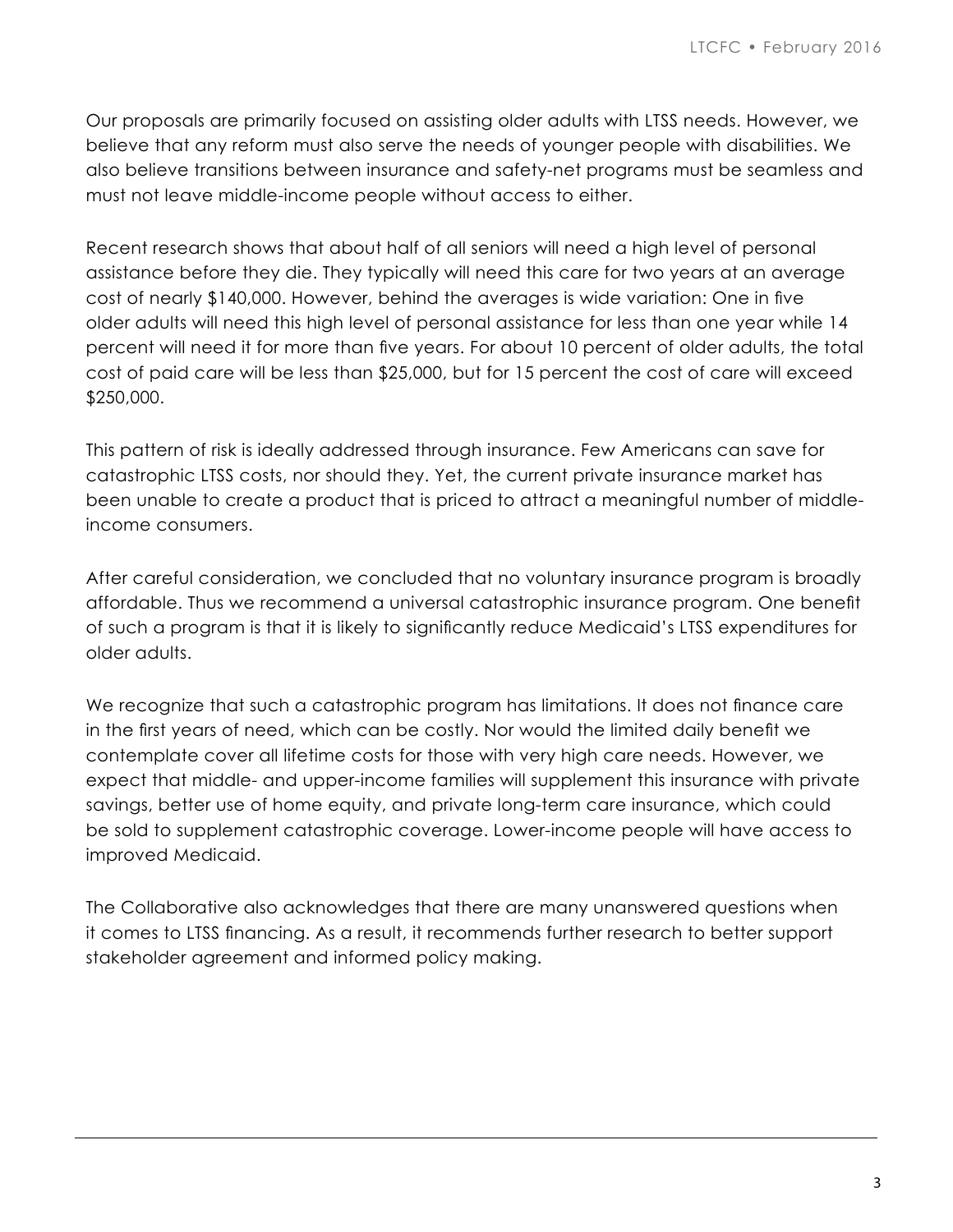Our proposals are primarily focused on assisting older adults with LTSS needs. However, we believe that any reform must also serve the needs of younger people with disabilities. We also believe transitions between insurance and safety-net programs must be seamless and must not leave middle-income people without access to either.

Recent research shows that about half of all seniors will need a high level of personal assistance before they die. They typically will need this care for two years at an average cost of nearly \$140,000. However, behind the averages is wide variation: One in five older adults will need this high level of personal assistance for less than one year while 14 percent will need it for more than five years. For about 10 percent of older adults, the total cost of paid care will be less than \$25,000, but for 15 percent the cost of care will exceed \$250,000.

This pattern of risk is ideally addressed through insurance. Few Americans can save for catastrophic LTSS costs, nor should they. Yet, the current private insurance market has been unable to create a product that is priced to attract a meaningful number of middleincome consumers.

After careful consideration, we concluded that no voluntary insurance program is broadly affordable. Thus we recommend a universal catastrophic insurance program. One benefit of such a program is that it is likely to significantly reduce Medicaid's LTSS expenditures for older adults.

We recognize that such a catastrophic program has limitations. It does not finance care in the first years of need, which can be costly. Nor would the limited daily benefit we contemplate cover all lifetime costs for those with very high care needs. However, we expect that middle- and upper-income families will supplement this insurance with private savings, better use of home equity, and private long-term care insurance, which could be sold to supplement catastrophic coverage. Lower-income people will have access to improved Medicaid.

The Collaborative also acknowledges that there are many unanswered questions when it comes to LTSS financing. As a result, it recommends further research to better support stakeholder agreement and informed policy making.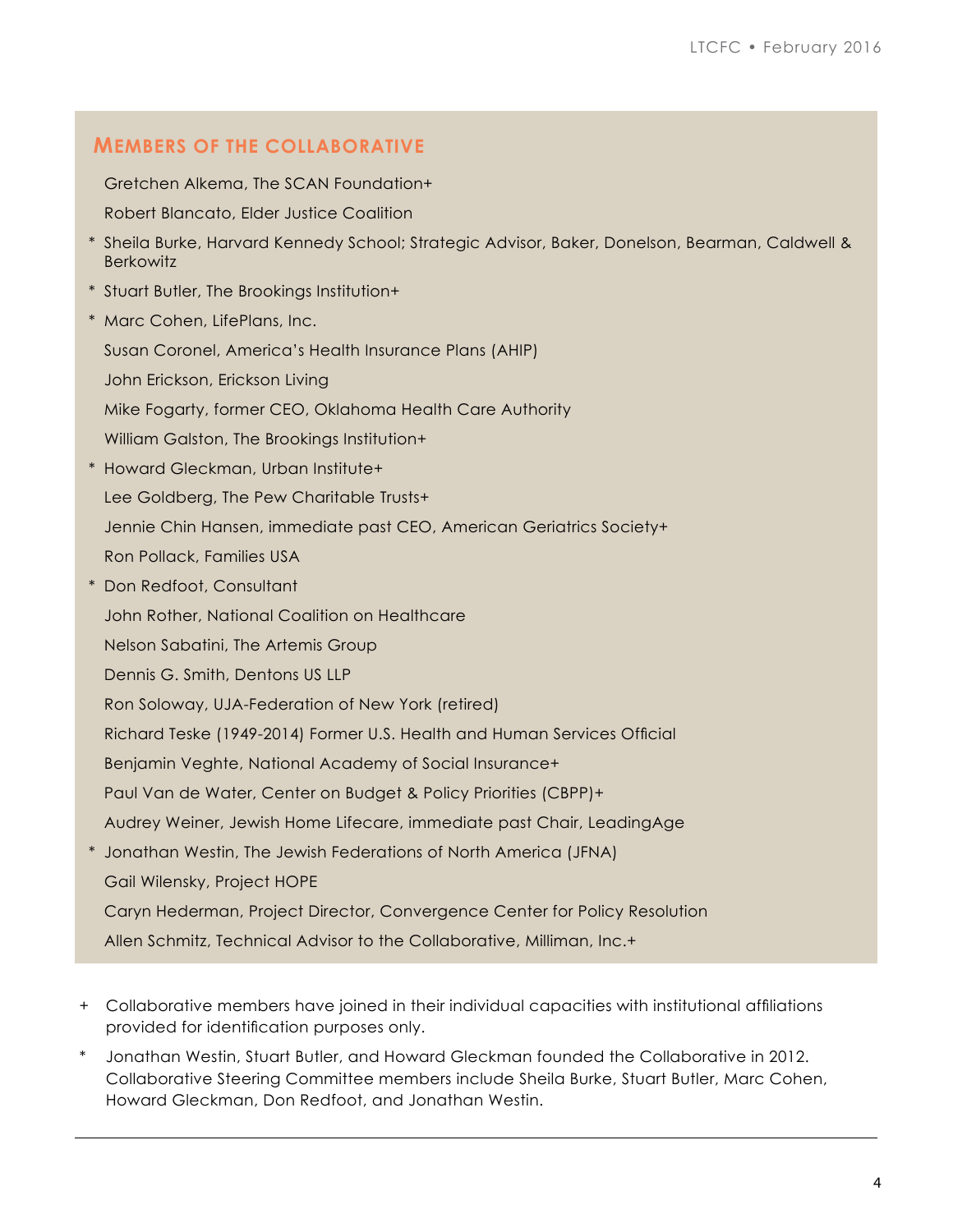# **MEMBERS OF THE COLLABORATIVE**

Gretchen Alkema, The SCAN Foundation+

Robert Blancato, Elder Justice Coalition

- \* Sheila Burke, Harvard Kennedy School; Strategic Advisor, Baker, Donelson, Bearman, Caldwell & **Berkowitz**
- \* Stuart Butler, The Brookings Institution+
- \* Marc Cohen, LifePlans, Inc. Susan Coronel, America's Health Insurance Plans (AHIP) John Erickson, Erickson Living Mike Fogarty, former CEO, Oklahoma Health Care Authority William Galston, The Brookings Institution+
- \* Howard Gleckman, Urban Institute+ Lee Goldberg, The Pew Charitable Trusts+ Jennie Chin Hansen, immediate past CEO, American Geriatrics Society+ Ron Pollack, Families USA
- \* Don Redfoot, Consultant John Rother, National Coalition on Healthcare Nelson Sabatini, The Artemis Group Dennis G. Smith, Dentons US LLP Ron Soloway, UJA-Federation of New York (retired) Richard Teske (1949-2014) Former U.S. Health and Human Services Official Benjamin Veghte, National Academy of Social Insurance+ Paul Van de Water, Center on Budget & Policy Priorities (CBPP)+ Audrey Weiner, Jewish Home Lifecare, immediate past Chair, LeadingAge \* Jonathan Westin, The Jewish Federations of North America (JFNA)
- Gail Wilensky, Project HOPE Caryn Hederman, Project Director, Convergence Center for Policy Resolution Allen Schmitz, Technical Advisor to the Collaborative, Milliman, Inc.+
- + Collaborative members have joined in their individual capacities with institutional affiliations provided for identification purposes only.
- \* Jonathan Westin, Stuart Butler, and Howard Gleckman founded the Collaborative in 2012. Collaborative Steering Committee members include Sheila Burke, Stuart Butler, Marc Cohen, Howard Gleckman, Don Redfoot, and Jonathan Westin.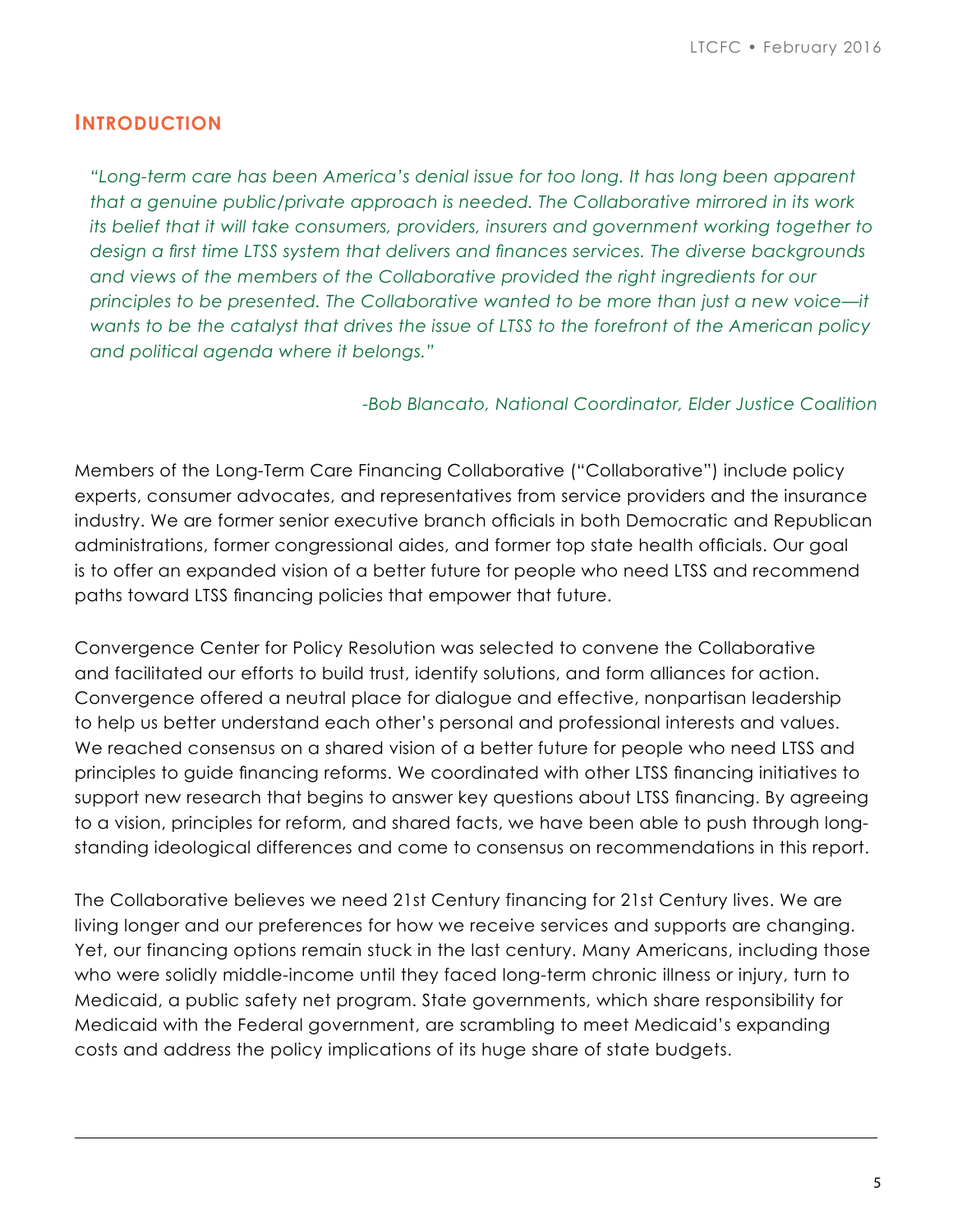## **INTRODUCTION**

*"Long-term care has been America's denial issue for too long. It has long been apparent that a genuine public/private approach is needed. The Collaborative mirrored in its work its belief that it will take consumers, providers, insurers and government working together to design a first time LTSS system that delivers and finances services. The diverse backgrounds and views of the members of the Collaborative provided the right ingredients for our principles to be presented. The Collaborative wanted to be more than just a new voice—it wants to be the catalyst that drives the issue of LTSS to the forefront of the American policy and political agenda where it belongs."*

#### *-Bob Blancato, National Coordinator, Elder Justice Coalition*

Members of the Long-Term Care Financing Collaborative ("Collaborative") include policy experts, consumer advocates, and representatives from service providers and the insurance industry. We are former senior executive branch officials in both Democratic and Republican administrations, former congressional aides, and former top state health officials. Our goal is to offer an expanded vision of a better future for people who need LTSS and recommend paths toward LTSS financing policies that empower that future.

Convergence Center for Policy Resolution was selected to convene the Collaborative and facilitated our efforts to build trust, identify solutions, and form alliances for action. Convergence offered a neutral place for dialogue and effective, nonpartisan leadership to help us better understand each other's personal and professional interests and values. We reached consensus on a shared vision of a better future for people who need LTSS and principles to guide financing reforms. We coordinated with other LTSS financing initiatives to support new research that begins to answer key questions about LTSS financing. By agreeing to a vision, principles for reform, and shared facts, we have been able to push through longstanding ideological differences and come to consensus on recommendations in this report.

The Collaborative believes we need 21st Century financing for 21st Century lives. We are living longer and our preferences for how we receive services and supports are changing. Yet, our financing options remain stuck in the last century. Many Americans, including those who were solidly middle-income until they faced long-term chronic illness or injury, turn to Medicaid, a public safety net program. State governments, which share responsibility for Medicaid with the Federal government, are scrambling to meet Medicaid's expanding costs and address the policy implications of its huge share of state budgets.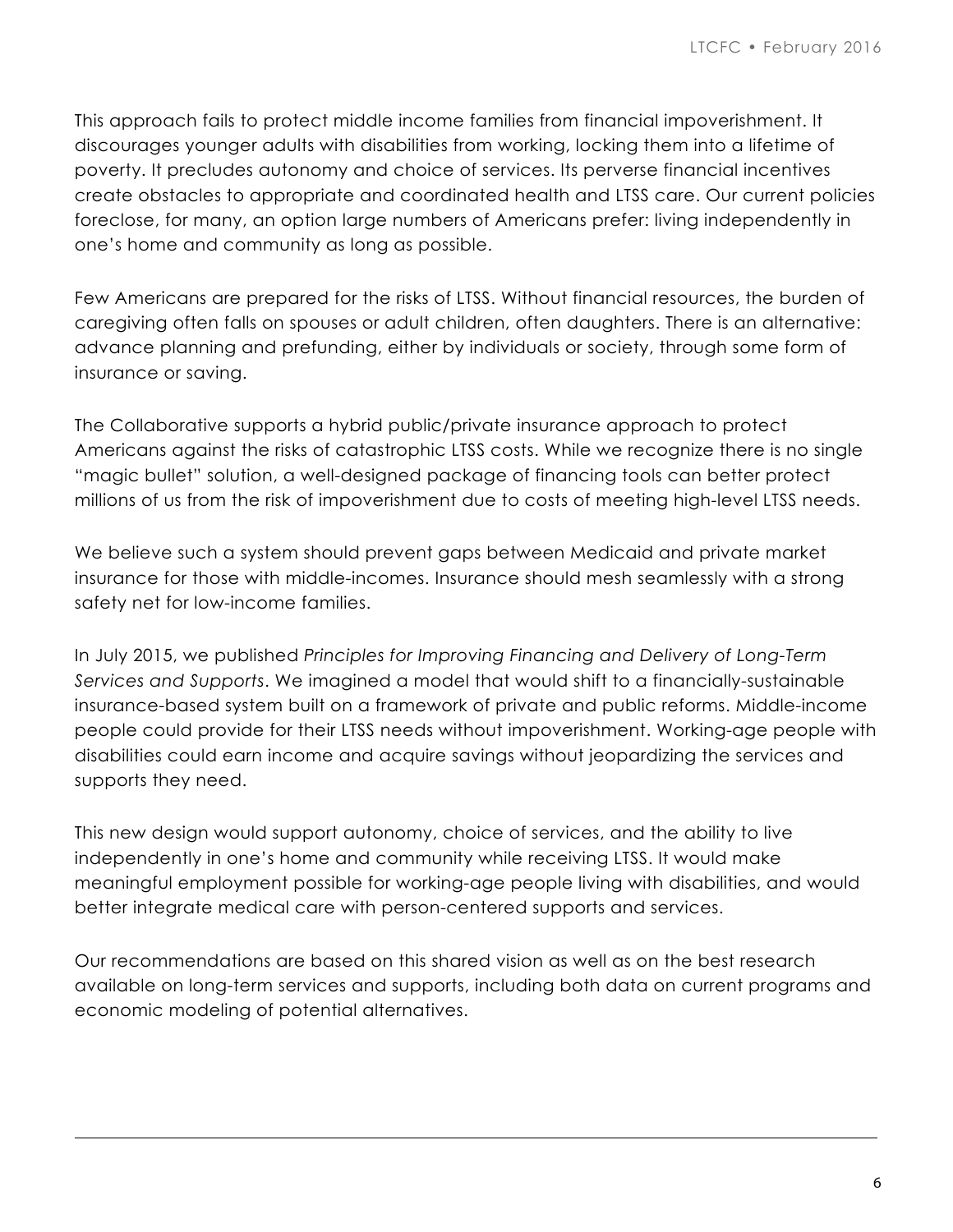This approach fails to protect middle income families from financial impoverishment. It discourages younger adults with disabilities from working, locking them into a lifetime of poverty. It precludes autonomy and choice of services. Its perverse financial incentives create obstacles to appropriate and coordinated health and LTSS care. Our current policies foreclose, for many, an option large numbers of Americans prefer: living independently in one's home and community as long as possible.

Few Americans are prepared for the risks of LTSS. Without financial resources, the burden of caregiving often falls on spouses or adult children, often daughters. There is an alternative: advance planning and prefunding, either by individuals or society, through some form of insurance or saving.

The Collaborative supports a hybrid public/private insurance approach to protect Americans against the risks of catastrophic LTSS costs. While we recognize there is no single "magic bullet" solution, a well-designed package of financing tools can better protect millions of us from the risk of impoverishment due to costs of meeting high-level LTSS needs.

We believe such a system should prevent gaps between Medicaid and private market insurance for those with middle-incomes. Insurance should mesh seamlessly with a strong safety net for low-income families.

In July 2015, we published *Principles for Improving Financing and Delivery of Long-Term Services and Supports*. We imagined a model that would shift to a financially-sustainable insurance-based system built on a framework of private and public reforms. Middle-income people could provide for their LTSS needs without impoverishment. Working-age people with disabilities could earn income and acquire savings without jeopardizing the services and supports they need.

This new design would support autonomy, choice of services, and the ability to live independently in one's home and community while receiving LTSS. It would make meaningful employment possible for working-age people living with disabilities, and would better integrate medical care with person-centered supports and services.

Our recommendations are based on this shared vision as well as on the best research available on long-term services and supports, including both data on current programs and economic modeling of potential alternatives.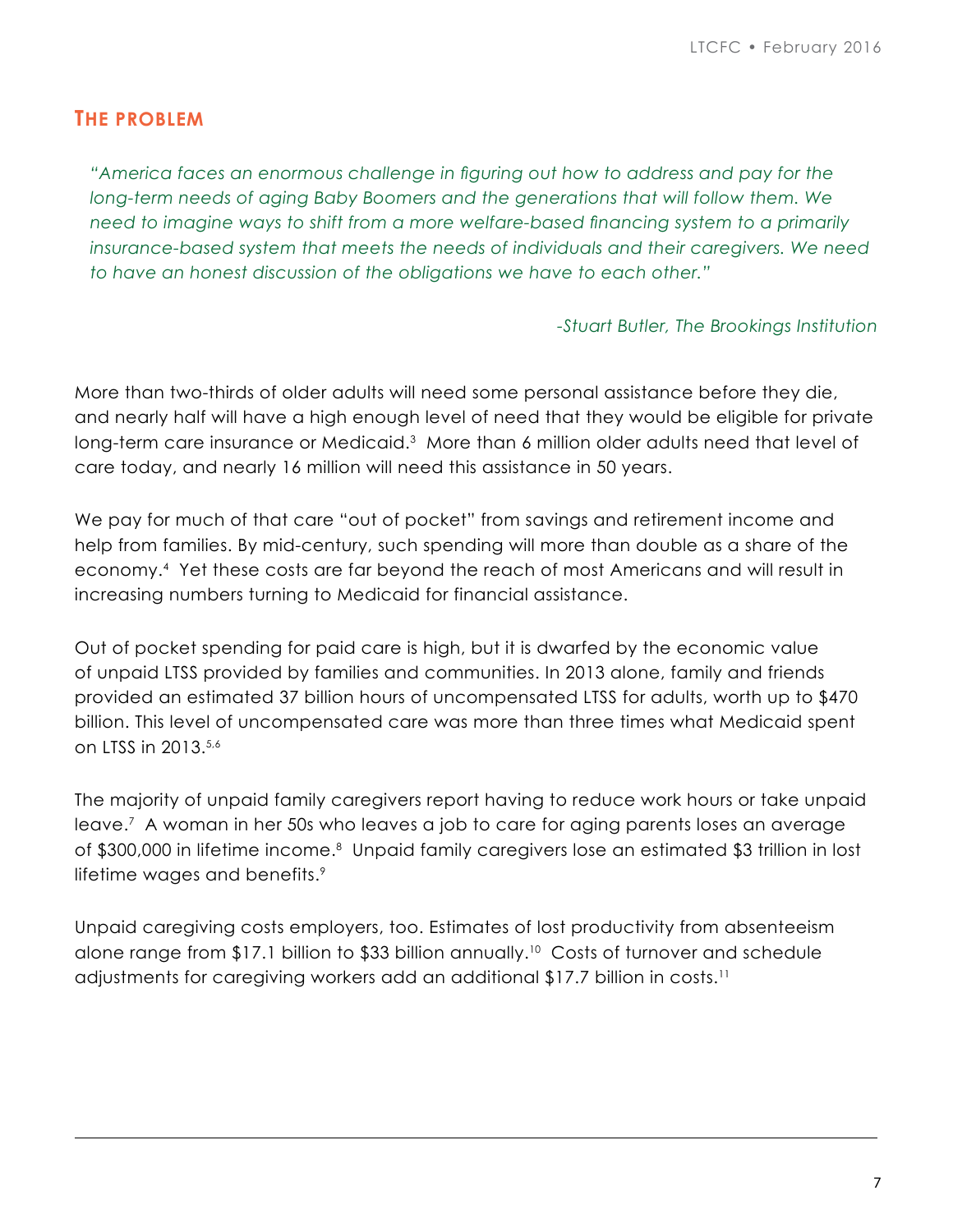# **THE PROBLEM**

*"America faces an enormous challenge in figuring out how to address and pay for the long-term needs of aging Baby Boomers and the generations that will follow them. We need to imagine ways to shift from a more welfare-based financing system to a primarily insurance-based system that meets the needs of individuals and their caregivers. We need to have an honest discussion of the obligations we have to each other."*

*-Stuart Butler, The Brookings Institution*

More than two-thirds of older adults will need some personal assistance before they die, and nearly half will have a high enough level of need that they would be eligible for private long-term care insurance or Medicaid.<sup>3</sup> More than 6 million older adults need that level of care today, and nearly 16 million will need this assistance in 50 years.

We pay for much of that care "out of pocket" from savings and retirement income and help from families. By mid-century, such spending will more than double as a share of the economy.4 Yet these costs are far beyond the reach of most Americans and will result in increasing numbers turning to Medicaid for financial assistance.

Out of pocket spending for paid care is high, but it is dwarfed by the economic value of unpaid LTSS provided by families and communities. In 2013 alone, family and friends provided an estimated 37 billion hours of uncompensated LTSS for adults, worth up to \$470 billion. This level of uncompensated care was more than three times what Medicaid spent on LTSS in 2013.5,6

The majority of unpaid family caregivers report having to reduce work hours or take unpaid leave.7 A woman in her 50s who leaves a job to care for aging parents loses an average of \$300,000 in lifetime income.<sup>8</sup> Unpaid family caregivers lose an estimated \$3 trillion in lost lifetime wages and benefits.<sup>9</sup>

Unpaid caregiving costs employers, too. Estimates of lost productivity from absenteeism alone range from \$17.1 billion to \$33 billion annually.10 Costs of turnover and schedule adjustments for caregiving workers add an additional \$17.7 billion in costs.11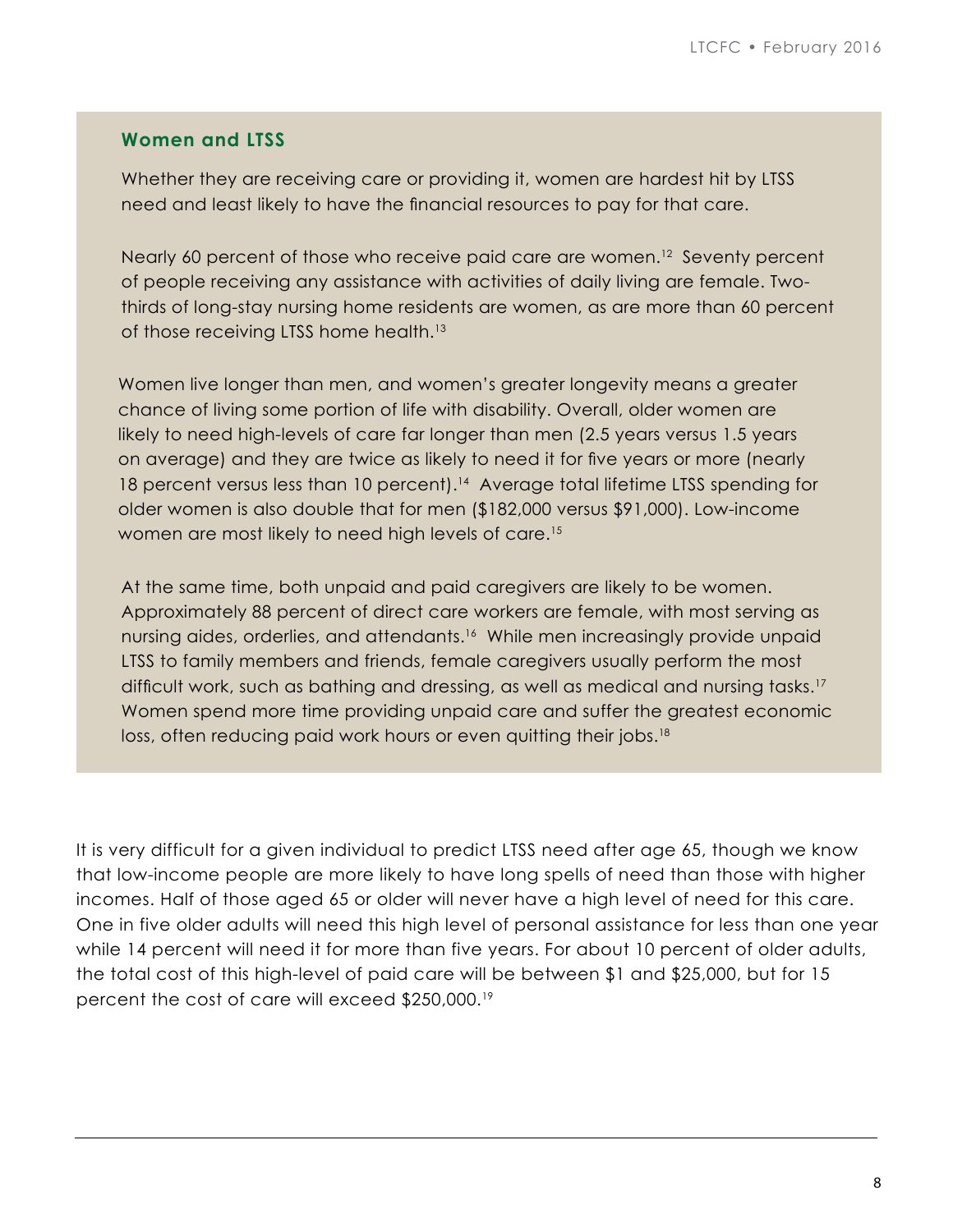#### **Women and LTSS**

Whether they are receiving care or providing it, women are hardest hit by LTSS need and least likely to have the financial resources to pay for that care.

Nearly 60 percent of those who receive paid care are women.<sup>12</sup> Seventy percent of people receiving any assistance with activities of daily living are female. Twothirds of long-stay nursing home residents are women, as are more than 60 percent of those receiving LTSS home health.13

Women live longer than men, and women's greater longevity means a greater chance of living some portion of life with disability. Overall, older women are likely to need high-levels of care far longer than men (2.5 years versus 1.5 years on average) and they are twice as likely to need it for five years or more (nearly 18 percent versus less than 10 percent).<sup>14</sup> Average total lifetime LTSS spending for older women is also double that for men (\$182,000 versus \$91,000). Low-income women are most likely to need high levels of care.15

At the same time, both unpaid and paid caregivers are likely to be women. Approximately 88 percent of direct care workers are female, with most serving as nursing aides, orderlies, and attendants.<sup>16</sup> While men increasingly provide unpaid LTSS to family members and friends, female caregivers usually perform the most difficult work, such as bathing and dressing, as well as medical and nursing tasks.<sup>17</sup> Women spend more time providing unpaid care and suffer the greatest economic loss, often reducing paid work hours or even quitting their jobs.<sup>18</sup>

It is very difficult for a given individual to predict LTSS need after age 65, though we know that low-income people are more likely to have long spells of need than those with higher incomes. Half of those aged 65 or older will never have a high level of need for this care. One in five older adults will need this high level of personal assistance for less than one year while 14 percent will need it for more than five years. For about 10 percent of older adults, the total cost of this high-level of paid care will be between \$1 and \$25,000, but for 15 percent the cost of care will exceed \$250,000.19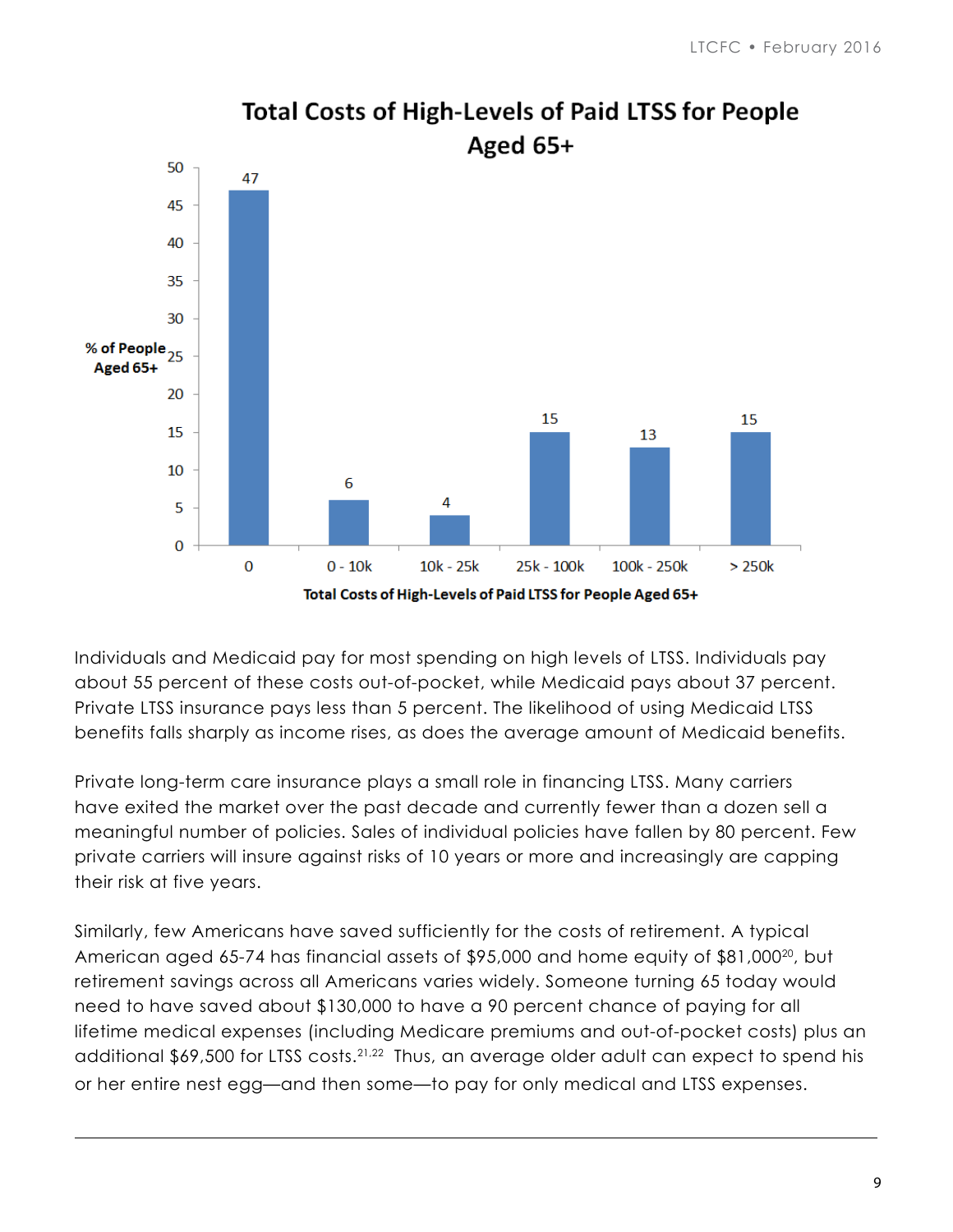

**Total Costs of High-Levels of Paid LTSS for People** 

Individuals and Medicaid pay for most spending on high levels of LTSS. Individuals pay about 55 percent of these costs out-of-pocket, while Medicaid pays about 37 percent. Private LTSS insurance pays less than 5 percent. The likelihood of using Medicaid LTSS benefits falls sharply as income rises, as does the average amount of Medicaid benefits.

Private long-term care insurance plays a small role in financing LTSS. Many carriers have exited the market over the past decade and currently fewer than a dozen sell a meaningful number of policies. Sales of individual policies have fallen by 80 percent. Few private carriers will insure against risks of 10 years or more and increasingly are capping their risk at five years.

Similarly, few Americans have saved sufficiently for the costs of retirement. A typical American aged 65-74 has financial assets of \$95,000 and home equity of \$81,000<sup>20</sup>, but retirement savings across all Americans varies widely. Someone turning 65 today would need to have saved about \$130,000 to have a 90 percent chance of paying for all lifetime medical expenses (including Medicare premiums and out-of-pocket costs) plus an additional \$69,500 for LTSS costs.21,22 Thus, an average older adult can expect to spend his or her entire nest egg—and then some—to pay for only medical and LTSS expenses.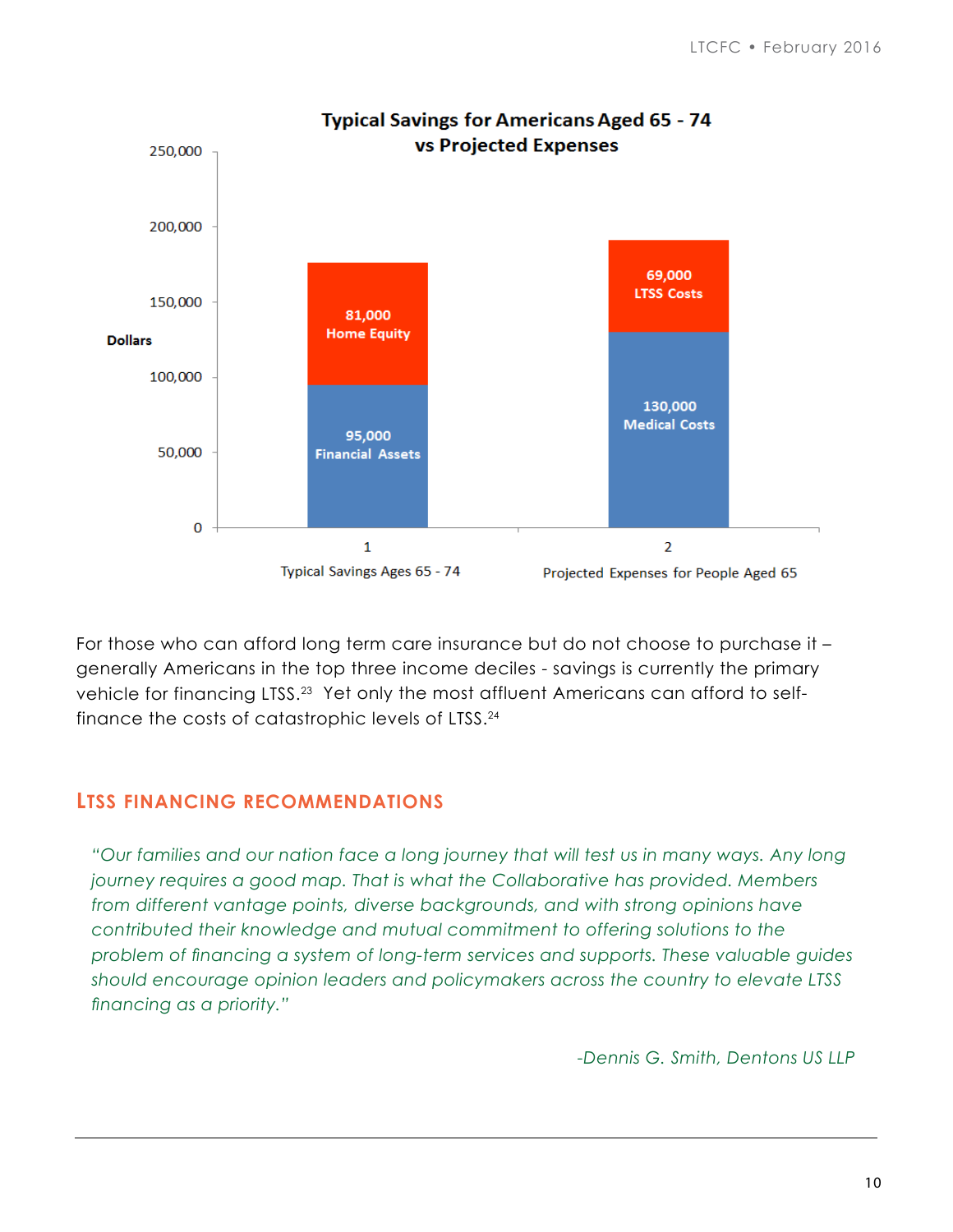

For those who can afford long term care insurance but do not choose to purchase it – generally Americans in the top three income deciles - savings is currently the primary vehicle for financing LTSS.<sup>23</sup> Yet only the most affluent Americans can afford to selffinance the costs of catastrophic levels of LTSS.24

# **LTSS FINANCING RECOMMENDATIONS**

*"Our families and our nation face a long journey that will test us in many ways. Any long journey requires a good map. That is what the Collaborative has provided. Members from different vantage points, diverse backgrounds, and with strong opinions have contributed their knowledge and mutual commitment to offering solutions to the problem of financing a system of long-term services and supports. These valuable guides should encourage opinion leaders and policymakers across the country to elevate LTSS financing as a priority."* 

*-Dennis G. Smith, Dentons US LLP*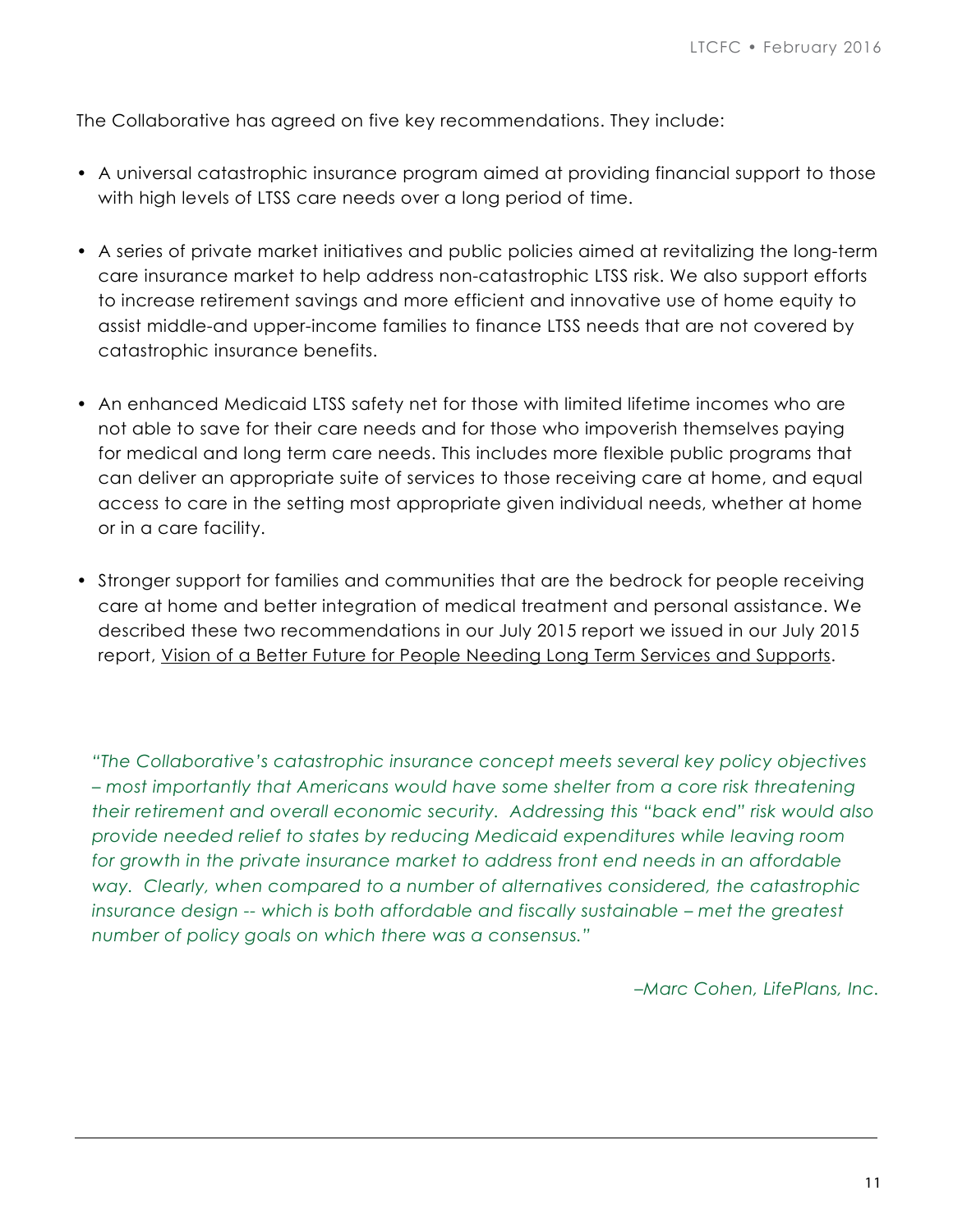The Collaborative has agreed on five key recommendations. They include:

- A universal catastrophic insurance program aimed at providing financial support to those with high levels of LTSS care needs over a long period of time.
- A series of private market initiatives and public policies aimed at revitalizing the long-term care insurance market to help address non-catastrophic LTSS risk. We also support efforts to increase retirement savings and more efficient and innovative use of home equity to assist middle-and upper-income families to finance LTSS needs that are not covered by catastrophic insurance benefits.
- An enhanced Medicaid LTSS safety net for those with limited lifetime incomes who are not able to save for their care needs and for those who impoverish themselves paying for medical and long term care needs. This includes more flexible public programs that can deliver an appropriate suite of services to those receiving care at home, and equal access to care in the setting most appropriate given individual needs, whether at home or in a care facility.
- Stronger support for families and communities that are the bedrock for people receiving care at home and better integration of medical treatment and personal assistance. We described these two recommendations in our July 2015 report we issued in our July 2015 report, [Vision of a Better Future for People Needing Long Term Services and Supports.](http://Vision of a Better Future for http://www.convergencepolicy.org/wp-content/uploads/2015/07/LTCFC-Vision-070215.pdf)

*"The Collaborative's catastrophic insurance concept meets several key policy objectives – most importantly that Americans would have some shelter from a core risk threatening their retirement and overall economic security. Addressing this "back end" risk would also provide needed relief to states by reducing Medicaid expenditures while leaving room for growth in the private insurance market to address front end needs in an affordable way. Clearly, when compared to a number of alternatives considered, the catastrophic insurance design -- which is both affordable and fiscally sustainable – met the greatest number of policy goals on which there was a consensus."* 

*–Marc Cohen, LifePlans, Inc.*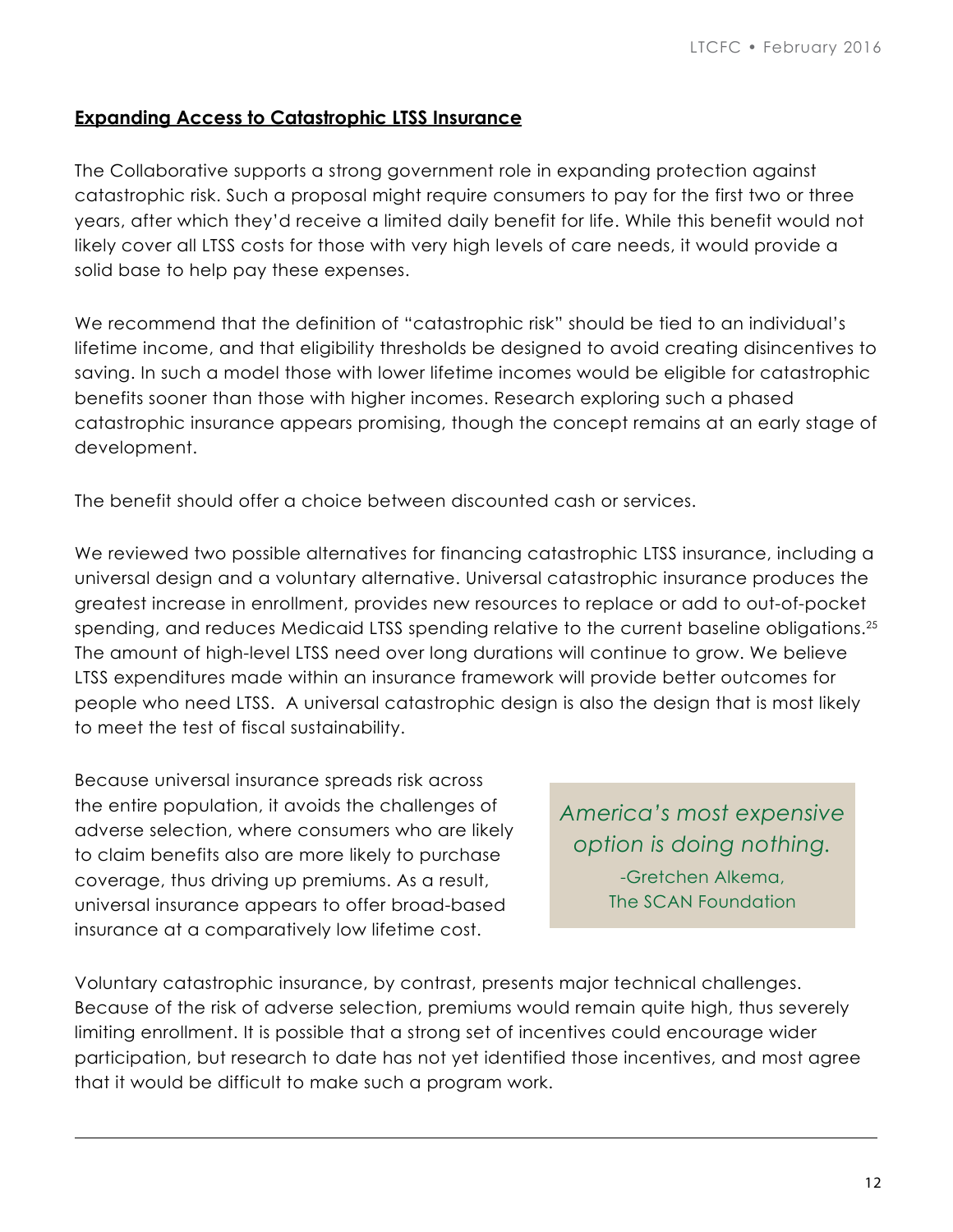#### **Expanding Access to Catastrophic LTSS Insurance**

The Collaborative supports a strong government role in expanding protection against catastrophic risk. Such a proposal might require consumers to pay for the first two or three years, after which they'd receive a limited daily benefit for life. While this benefit would not likely cover all LTSS costs for those with very high levels of care needs, it would provide a solid base to help pay these expenses.

We recommend that the definition of "catastrophic risk" should be tied to an individual's lifetime income, and that eligibility thresholds be designed to avoid creating disincentives to saving. In such a model those with lower lifetime incomes would be eligible for catastrophic benefits sooner than those with higher incomes. Research exploring such a phased catastrophic insurance appears promising, though the concept remains at an early stage of development.

The benefit should offer a choice between discounted cash or services.

We reviewed two possible alternatives for financing catastrophic LTSS insurance, including a universal design and a voluntary alternative. Universal catastrophic insurance produces the greatest increase in enrollment, provides new resources to replace or add to out-of-pocket spending, and reduces Medicaid LTSS spending relative to the current baseline obligations.<sup>25</sup> The amount of high-level LTSS need over long durations will continue to grow. We believe LTSS expenditures made within an insurance framework will provide better outcomes for people who need LTSS. A universal catastrophic design is also the design that is most likely to meet the test of fiscal sustainability.

Because universal insurance spreads risk across the entire population, it avoids the challenges of adverse selection, where consumers who are likely to claim benefits also are more likely to purchase coverage, thus driving up premiums. As a result, universal insurance appears to offer broad-based insurance at a comparatively low lifetime cost.

*America's most expensive option is doing nothing.* -Gretchen Alkema,

The SCAN Foundation

Voluntary catastrophic insurance, by contrast, presents major technical challenges. Because of the risk of adverse selection, premiums would remain quite high, thus severely limiting enrollment. It is possible that a strong set of incentives could encourage wider participation, but research to date has not yet identified those incentives, and most agree that it would be difficult to make such a program work.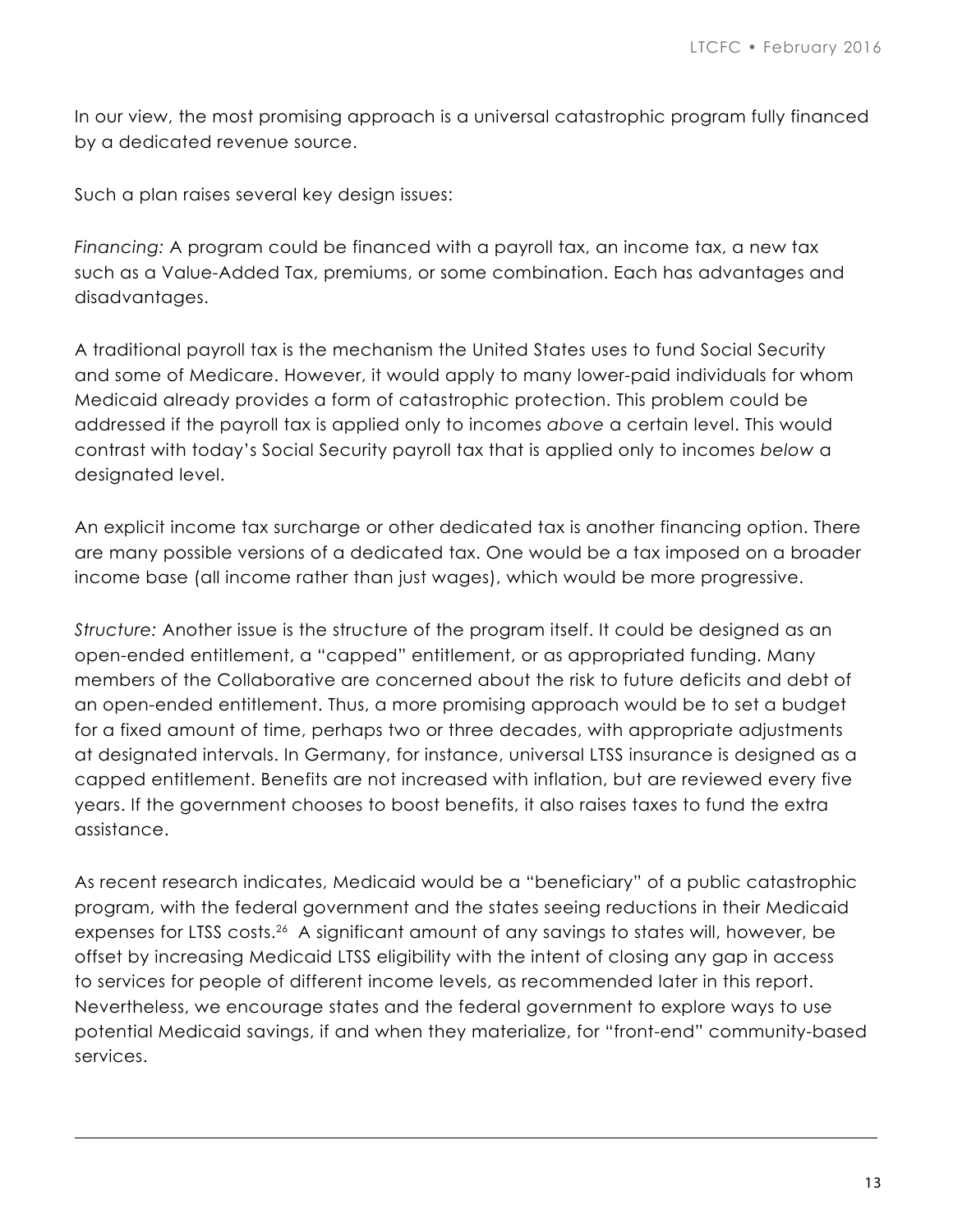In our view, the most promising approach is a universal catastrophic program fully financed by a dedicated revenue source.

Such a plan raises several key design issues:

*Financing:* A program could be financed with a payroll tax, an income tax, a new tax such as a Value-Added Tax, premiums, or some combination. Each has advantages and disadvantages.

A traditional payroll tax is the mechanism the United States uses to fund Social Security and some of Medicare. However, it would apply to many lower-paid individuals for whom Medicaid already provides a form of catastrophic protection. This problem could be addressed if the payroll tax is applied only to incomes *above* a certain level. This would contrast with today's Social Security payroll tax that is applied only to incomes *below* a designated level.

An explicit income tax surcharge or other dedicated tax is another financing option. There are many possible versions of a dedicated tax. One would be a tax imposed on a broader income base (all income rather than just wages), which would be more progressive.

*Structure:* Another issue is the structure of the program itself. It could be designed as an open-ended entitlement, a "capped" entitlement, or as appropriated funding. Many members of the Collaborative are concerned about the risk to future deficits and debt of an open-ended entitlement. Thus, a more promising approach would be to set a budget for a fixed amount of time, perhaps two or three decades, with appropriate adjustments at designated intervals. In Germany, for instance, universal LTSS insurance is designed as a capped entitlement. Benefits are not increased with inflation, but are reviewed every five years. If the government chooses to boost benefits, it also raises taxes to fund the extra assistance.

As recent research indicates, Medicaid would be a "beneficiary" of a public catastrophic program, with the federal government and the states seeing reductions in their Medicaid expenses for LTSS costs.<sup>26</sup> A significant amount of any savings to states will, however, be offset by increasing Medicaid LTSS eligibility with the intent of closing any gap in access to services for people of different income levels, as recommended later in this report. Nevertheless, we encourage states and the federal government to explore ways to use potential Medicaid savings, if and when they materialize, for "front-end" community-based services.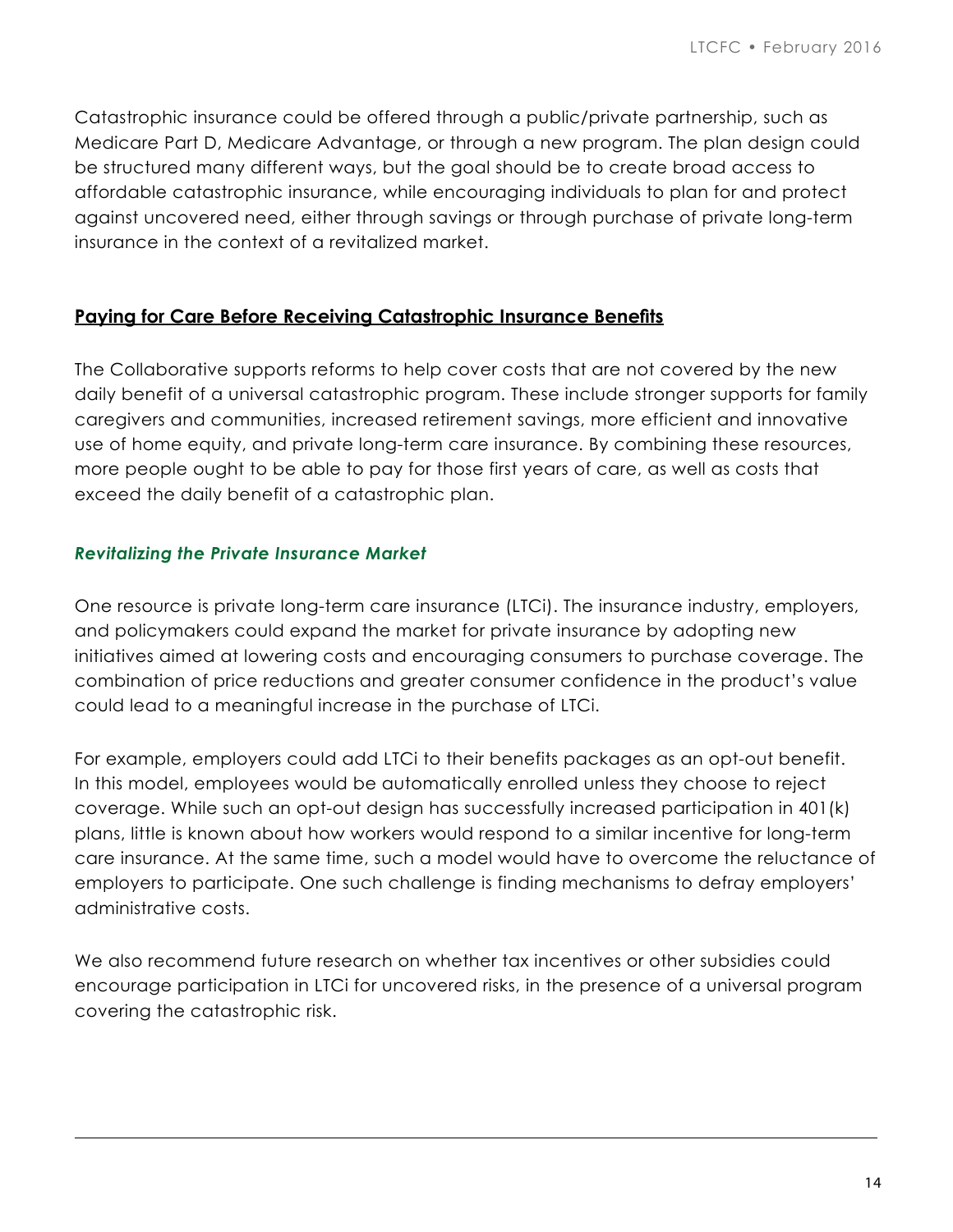Catastrophic insurance could be offered through a public/private partnership, such as Medicare Part D, Medicare Advantage, or through a new program. The plan design could be structured many different ways, but the goal should be to create broad access to affordable catastrophic insurance, while encouraging individuals to plan for and protect against uncovered need, either through savings or through purchase of private long-term insurance in the context of a revitalized market.

## **Paying for Care Before Receiving Catastrophic Insurance Benefits**

The Collaborative supports reforms to help cover costs that are not covered by the new daily benefit of a universal catastrophic program. These include stronger supports for family caregivers and communities, increased retirement savings, more efficient and innovative use of home equity, and private long-term care insurance. By combining these resources, more people ought to be able to pay for those first years of care, as well as costs that exceed the daily benefit of a catastrophic plan.

#### *Revitalizing the Private Insurance Market*

One resource is private long-term care insurance (LTCi). The insurance industry, employers, and policymakers could expand the market for private insurance by adopting new initiatives aimed at lowering costs and encouraging consumers to purchase coverage. The combination of price reductions and greater consumer confidence in the product's value could lead to a meaningful increase in the purchase of LTCi.

For example, employers could add LTCi to their benefits packages as an opt-out benefit. In this model, employees would be automatically enrolled unless they choose to reject coverage. While such an opt-out design has successfully increased participation in 401(k) plans, little is known about how workers would respond to a similar incentive for long-term care insurance. At the same time, such a model would have to overcome the reluctance of employers to participate. One such challenge is finding mechanisms to defray employers' administrative costs.

We also recommend future research on whether tax incentives or other subsidies could encourage participation in LTCi for uncovered risks, in the presence of a universal program covering the catastrophic risk.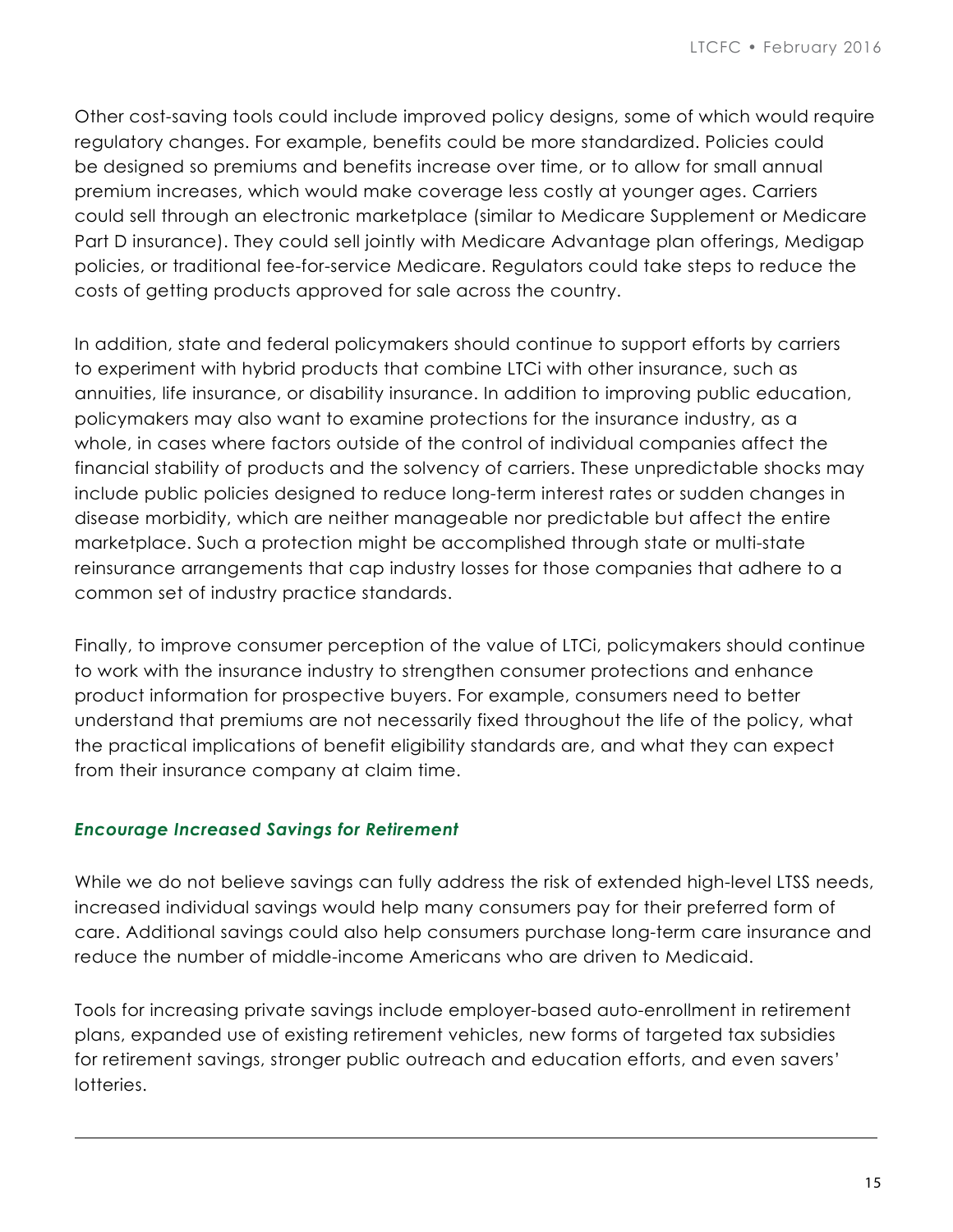Other cost-saving tools could include improved policy designs, some of which would require regulatory changes. For example, benefits could be more standardized. Policies could be designed so premiums and benefits increase over time, or to allow for small annual premium increases, which would make coverage less costly at younger ages. Carriers could sell through an electronic marketplace (similar to Medicare Supplement or Medicare Part D insurance). They could sell jointly with Medicare Advantage plan offerings, Medigap policies, or traditional fee-for-service Medicare. Regulators could take steps to reduce the costs of getting products approved for sale across the country.

In addition, state and federal policymakers should continue to support efforts by carriers to experiment with hybrid products that combine LTCi with other insurance, such as annuities, life insurance, or disability insurance. In addition to improving public education, policymakers may also want to examine protections for the insurance industry, as a whole, in cases where factors outside of the control of individual companies affect the financial stability of products and the solvency of carriers. These unpredictable shocks may include public policies designed to reduce long-term interest rates or sudden changes in disease morbidity, which are neither manageable nor predictable but affect the entire marketplace. Such a protection might be accomplished through state or multi-state reinsurance arrangements that cap industry losses for those companies that adhere to a common set of industry practice standards.

Finally, to improve consumer perception of the value of LTCi, policymakers should continue to work with the insurance industry to strengthen consumer protections and enhance product information for prospective buyers. For example, consumers need to better understand that premiums are not necessarily fixed throughout the life of the policy, what the practical implications of benefit eligibility standards are, and what they can expect from their insurance company at claim time.

#### *Encourage Increased Savings for Retirement*

While we do not believe savings can fully address the risk of extended high-level LTSS needs, increased individual savings would help many consumers pay for their preferred form of care. Additional savings could also help consumers purchase long-term care insurance and reduce the number of middle-income Americans who are driven to Medicaid.

Tools for increasing private savings include employer-based auto-enrollment in retirement plans, expanded use of existing retirement vehicles, new forms of targeted tax subsidies for retirement savings, stronger public outreach and education efforts, and even savers' lotteries.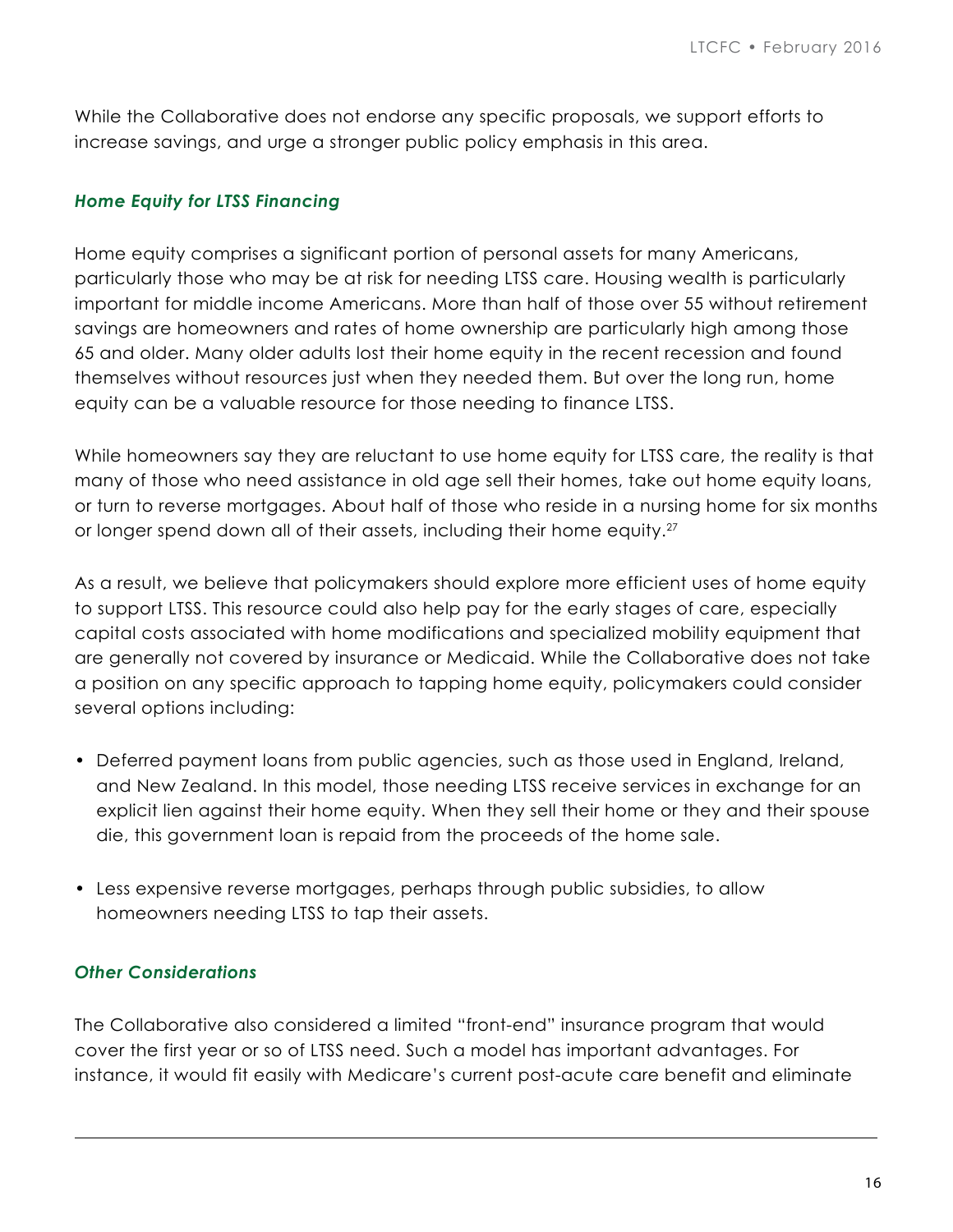While the Collaborative does not endorse any specific proposals, we support efforts to increase savings, and urge a stronger public policy emphasis in this area.

#### *Home Equity for LTSS Financing*

Home equity comprises a significant portion of personal assets for many Americans, particularly those who may be at risk for needing LTSS care. Housing wealth is particularly important for middle income Americans. More than half of those over 55 without retirement savings are homeowners and rates of home ownership are particularly high among those 65 and older. Many older adults lost their home equity in the recent recession and found themselves without resources just when they needed them. But over the long run, home equity can be a valuable resource for those needing to finance LTSS.

While homeowners say they are reluctant to use home equity for LTSS care, the reality is that many of those who need assistance in old age sell their homes, take out home equity loans, or turn to reverse mortgages. About half of those who reside in a nursing home for six months or longer spend down all of their assets, including their home equity.<sup>27</sup>

As a result, we believe that policymakers should explore more efficient uses of home equity to support LTSS. This resource could also help pay for the early stages of care, especially capital costs associated with home modifications and specialized mobility equipment that are generally not covered by insurance or Medicaid. While the Collaborative does not take a position on any specific approach to tapping home equity, policymakers could consider several options including:

- Deferred payment loans from public agencies, such as those used in England, Ireland, and New Zealand. In this model, those needing LTSS receive services in exchange for an explicit lien against their home equity. When they sell their home or they and their spouse die, this government loan is repaid from the proceeds of the home sale.
- Less expensive reverse mortgages, perhaps through public subsidies, to allow homeowners needing LTSS to tap their assets.

## *Other Considerations*

The Collaborative also considered a limited "front-end" insurance program that would cover the first year or so of LTSS need. Such a model has important advantages. For instance, it would fit easily with Medicare's current post-acute care benefit and eliminate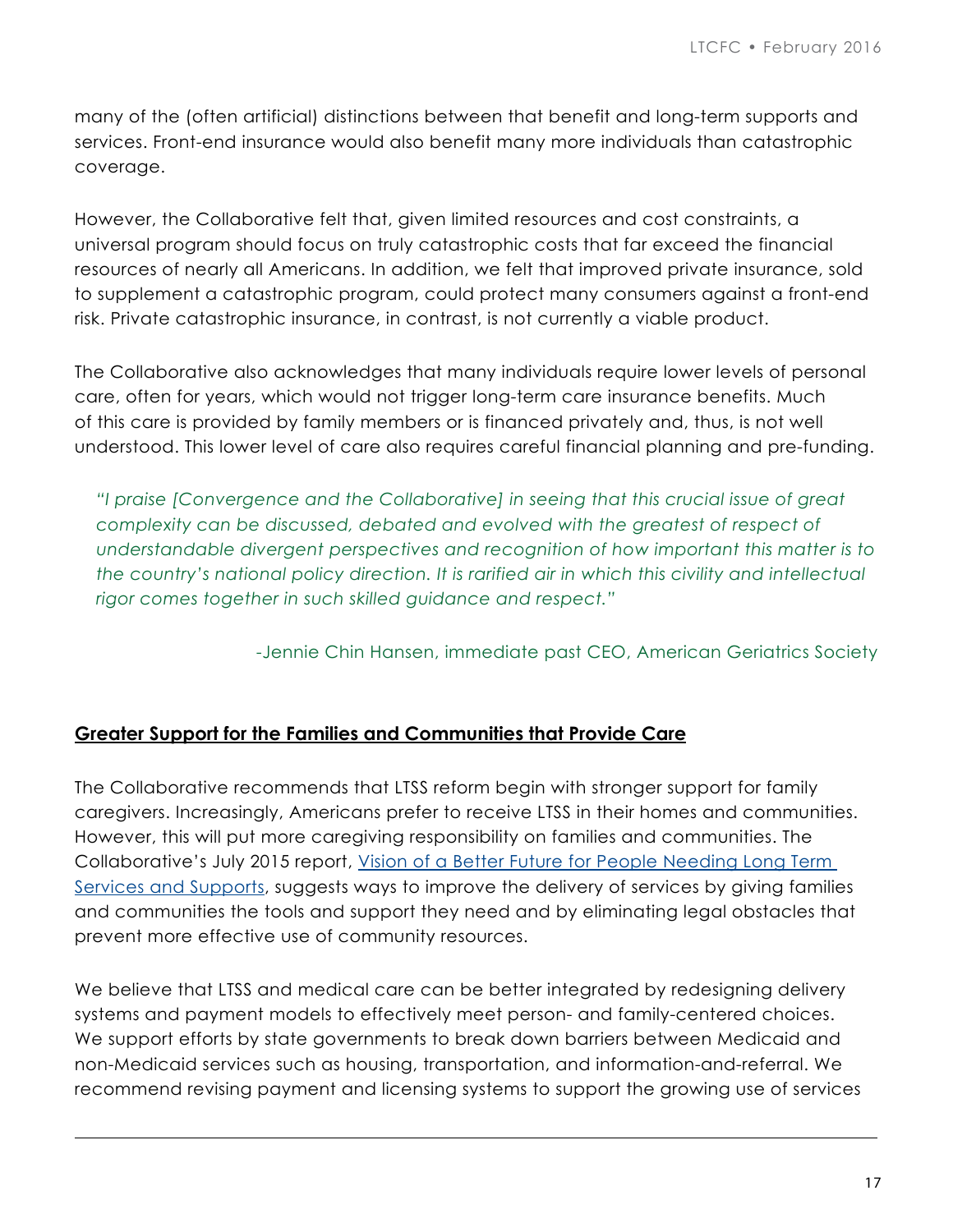many of the (often artificial) distinctions between that benefit and long-term supports and services. Front-end insurance would also benefit many more individuals than catastrophic coverage.

However, the Collaborative felt that, given limited resources and cost constraints, a universal program should focus on truly catastrophic costs that far exceed the financial resources of nearly all Americans. In addition, we felt that improved private insurance, sold to supplement a catastrophic program, could protect many consumers against a front-end risk. Private catastrophic insurance, in contrast, is not currently a viable product.

The Collaborative also acknowledges that many individuals require lower levels of personal care, often for years, which would not trigger long-term care insurance benefits. Much of this care is provided by family members or is financed privately and, thus, is not well understood. This lower level of care also requires careful financial planning and pre-funding.

*"I praise [Convergence and the Collaborative] in seeing that this crucial issue of great complexity can be discussed, debated and evolved with the greatest of respect of understandable divergent perspectives and recognition of how important this matter is to the country's national policy direction. It is rarified air in which this civility and intellectual rigor comes together in such skilled guidance and respect."* 

-Jennie Chin Hansen, immediate past CEO, American Geriatrics Society

## **Greater Support for the Families and Communities that Provide Care**

The Collaborative recommends that LTSS reform begin with stronger support for family caregivers. Increasingly, Americans prefer to receive LTSS in their homes and communities. However, this will put more caregiving responsibility on families and communities. The Collaborative's July 2015 report, [Vision of a Better Future for People Needing Long Term](http://www.convergencepolicy.org/wp-content/uploads/2015/07/LTCFC-Vision-070215.pdf)  [Services and Supports](http://www.convergencepolicy.org/wp-content/uploads/2015/07/LTCFC-Vision-070215.pdf), suggests ways to improve the delivery of services by giving families and communities the tools and support they need and by eliminating legal obstacles that prevent more effective use of community resources.

We believe that LTSS and medical care can be better integrated by redesigning delivery systems and payment models to effectively meet person- and family-centered choices. We support efforts by state governments to break down barriers between Medicaid and non-Medicaid services such as housing, transportation, and information-and-referral. We recommend revising payment and licensing systems to support the growing use of services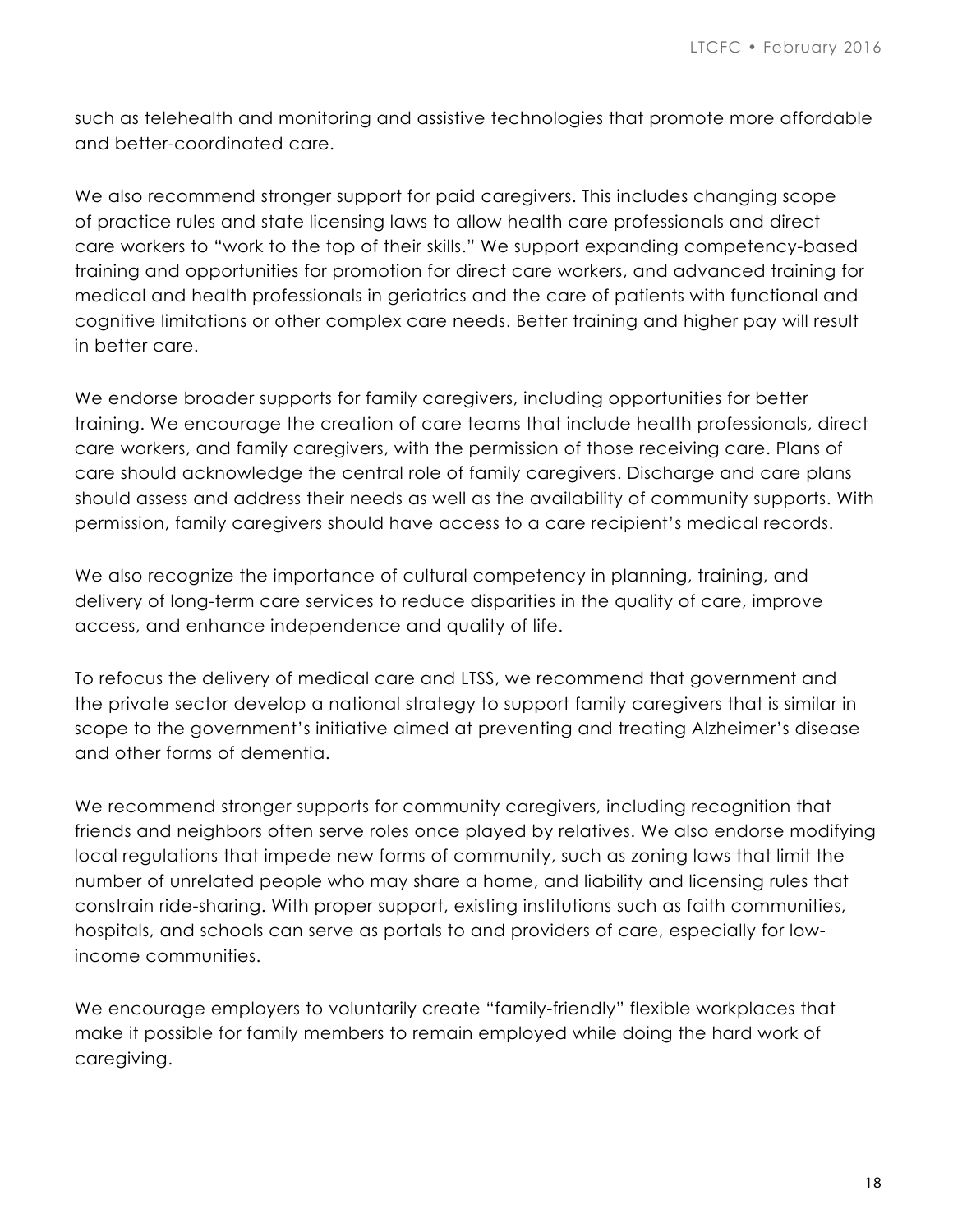such as telehealth and monitoring and assistive technologies that promote more affordable and better-coordinated care.

We also recommend stronger support for paid caregivers. This includes changing scope of practice rules and state licensing laws to allow health care professionals and direct care workers to "work to the top of their skills." We support expanding competency-based training and opportunities for promotion for direct care workers, and advanced training for medical and health professionals in geriatrics and the care of patients with functional and cognitive limitations or other complex care needs. Better training and higher pay will result in better care.

We endorse broader supports for family caregivers, including opportunities for better training. We encourage the creation of care teams that include health professionals, direct care workers, and family caregivers, with the permission of those receiving care. Plans of care should acknowledge the central role of family caregivers. Discharge and care plans should assess and address their needs as well as the availability of community supports. With permission, family caregivers should have access to a care recipient's medical records.

We also recognize the importance of cultural competency in planning, training, and delivery of long-term care services to reduce disparities in the quality of care, improve access, and enhance independence and quality of life.

To refocus the delivery of medical care and LTSS, we recommend that government and the private sector develop a national strategy to support family caregivers that is similar in scope to the government's initiative aimed at preventing and treating Alzheimer's disease and other forms of dementia.

We recommend stronger supports for community caregivers, including recognition that friends and neighbors often serve roles once played by relatives. We also endorse modifying local regulations that impede new forms of community, such as zoning laws that limit the number of unrelated people who may share a home, and liability and licensing rules that constrain ride-sharing. With proper support, existing institutions such as faith communities, hospitals, and schools can serve as portals to and providers of care, especially for lowincome communities.

We encourage employers to voluntarily create "family-friendly" flexible workplaces that make it possible for family members to remain employed while doing the hard work of caregiving.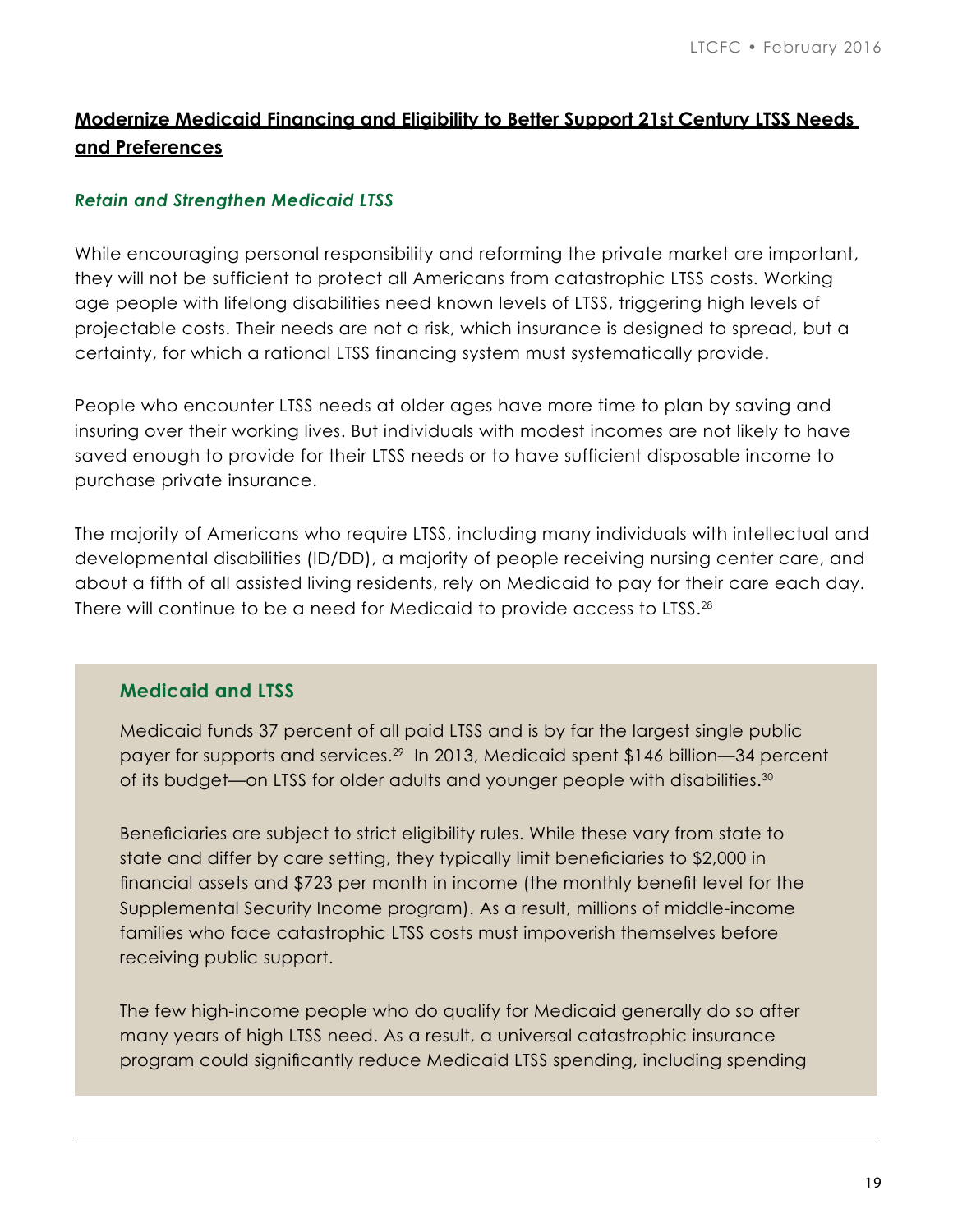# **Modernize Medicaid Financing and Eligibility to Better Support 21st Century LTSS Needs and Preferences**

#### *Retain and Strengthen Medicaid LTSS*

While encouraging personal responsibility and reforming the private market are important, they will not be sufficient to protect all Americans from catastrophic LTSS costs. Working age people with lifelong disabilities need known levels of LTSS, triggering high levels of projectable costs. Their needs are not a risk, which insurance is designed to spread, but a certainty, for which a rational LTSS financing system must systematically provide.

People who encounter LTSS needs at older ages have more time to plan by saving and insuring over their working lives. But individuals with modest incomes are not likely to have saved enough to provide for their LTSS needs or to have sufficient disposable income to purchase private insurance.

The majority of Americans who require LTSS, including many individuals with intellectual and developmental disabilities (ID/DD), a majority of people receiving nursing center care, and about a fifth of all assisted living residents, rely on Medicaid to pay for their care each day. There will continue to be a need for Medicaid to provide access to LTSS.<sup>28</sup>

#### **Medicaid and LTSS**

Medicaid funds 37 percent of all paid LTSS and is by far the largest single public payer for supports and services.29 In 2013, Medicaid spent \$146 billion—34 percent of its budget—on LTSS for older adults and younger people with disabilities.<sup>30</sup>

Beneficiaries are subject to strict eligibility rules. While these vary from state to state and differ by care setting, they typically limit beneficiaries to \$2,000 in financial assets and \$723 per month in income (the monthly benefit level for the Supplemental Security Income program). As a result, millions of middle-income families who face catastrophic LTSS costs must impoverish themselves before receiving public support.

The few high-income people who do qualify for Medicaid generally do so after many years of high LTSS need. As a result, a universal catastrophic insurance program could significantly reduce Medicaid LTSS spending, including spending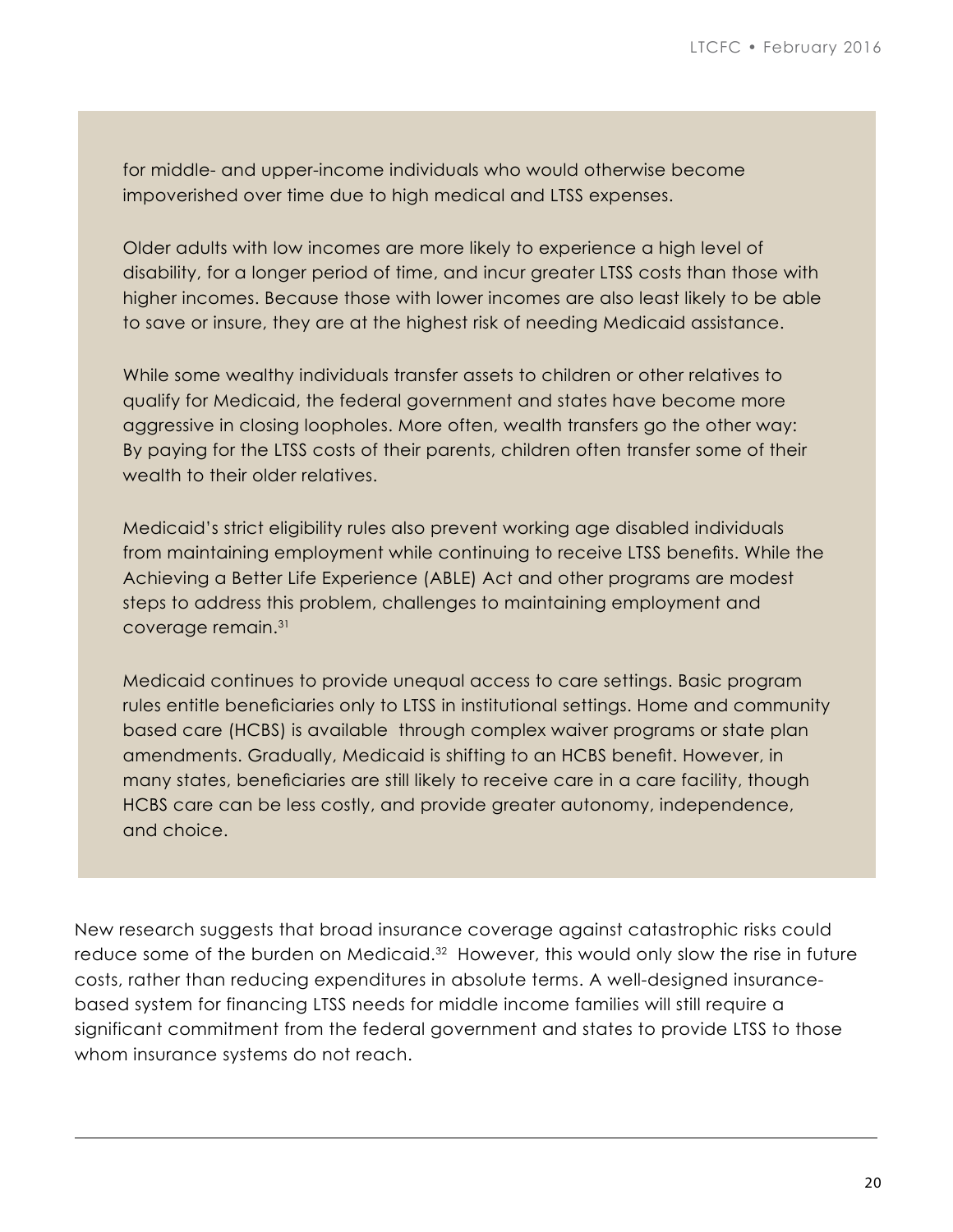for middle- and upper-income individuals who would otherwise become impoverished over time due to high medical and LTSS expenses.

Older adults with low incomes are more likely to experience a high level of disability, for a longer period of time, and incur greater LTSS costs than those with higher incomes. Because those with lower incomes are also least likely to be able to save or insure, they are at the highest risk of needing Medicaid assistance.

While some wealthy individuals transfer assets to children or other relatives to qualify for Medicaid, the federal government and states have become more aggressive in closing loopholes. More often, wealth transfers go the other way: By paying for the LTSS costs of their parents, children often transfer some of their wealth to their older relatives.

Medicaid's strict eligibility rules also prevent working age disabled individuals from maintaining employment while continuing to receive LTSS benefits. While the Achieving a Better Life Experience (ABLE) Act and other programs are modest steps to address this problem, challenges to maintaining employment and coverage remain.31

Medicaid continues to provide unequal access to care settings. Basic program rules entitle beneficiaries only to LTSS in institutional settings. Home and community based care (HCBS) is available through complex waiver programs or state plan amendments. Gradually, Medicaid is shifting to an HCBS benefit. However, in many states, beneficiaries are still likely to receive care in a care facility, though HCBS care can be less costly, and provide greater autonomy, independence, and choice.

New research suggests that broad insurance coverage against catastrophic risks could reduce some of the burden on Medicaid.<sup>32</sup> However, this would only slow the rise in future costs, rather than reducing expenditures in absolute terms. A well-designed insurancebased system for financing LTSS needs for middle income families will still require a significant commitment from the federal government and states to provide LTSS to those whom insurance systems do not reach.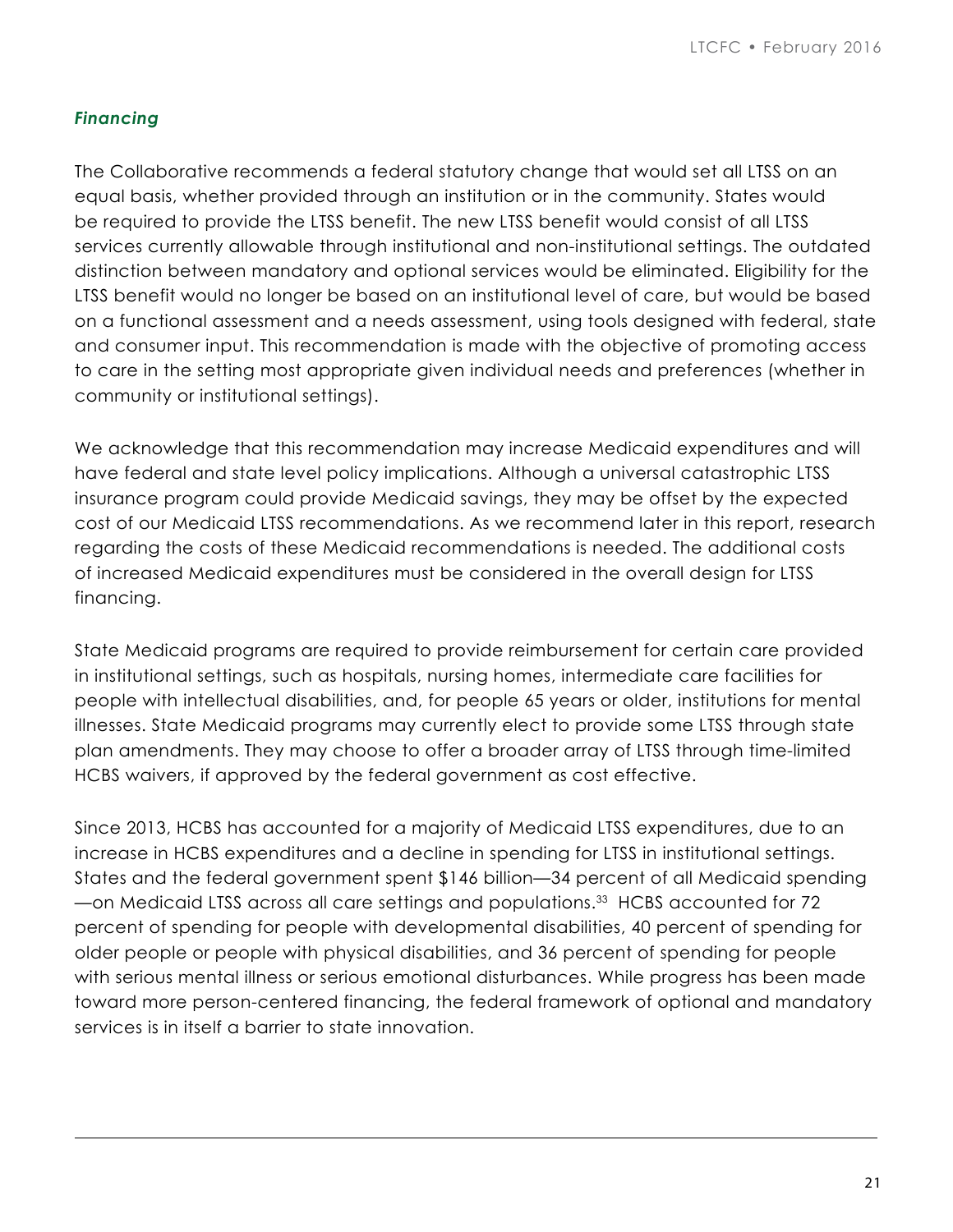### *Financing*

The Collaborative recommends a federal statutory change that would set all LTSS on an equal basis, whether provided through an institution or in the community. States would be required to provide the LTSS benefit. The new LTSS benefit would consist of all LTSS services currently allowable through institutional and non-institutional settings. The outdated distinction between mandatory and optional services would be eliminated. Eligibility for the LTSS benefit would no longer be based on an institutional level of care, but would be based on a functional assessment and a needs assessment, using tools designed with federal, state and consumer input. This recommendation is made with the objective of promoting access to care in the setting most appropriate given individual needs and preferences (whether in community or institutional settings).

We acknowledge that this recommendation may increase Medicaid expenditures and will have federal and state level policy implications. Although a universal catastrophic LTSS insurance program could provide Medicaid savings, they may be offset by the expected cost of our Medicaid LTSS recommendations. As we recommend later in this report, research regarding the costs of these Medicaid recommendations is needed. The additional costs of increased Medicaid expenditures must be considered in the overall design for LTSS financing.

State Medicaid programs are required to provide reimbursement for certain care provided in institutional settings, such as hospitals, nursing homes, intermediate care facilities for people with intellectual disabilities, and, for people 65 years or older, institutions for mental illnesses. State Medicaid programs may currently elect to provide some LTSS through state plan amendments. They may choose to offer a broader array of LTSS through time-limited HCBS waivers, if approved by the federal government as cost effective.

Since 2013, HCBS has accounted for a majority of Medicaid LTSS expenditures, due to an increase in HCBS expenditures and a decline in spending for LTSS in institutional settings. States and the federal government spent \$146 billion—34 percent of all Medicaid spending —on Medicaid LTSS across all care settings and populations.<sup>33</sup> HCBS accounted for 72 percent of spending for people with developmental disabilities, 40 percent of spending for older people or people with physical disabilities, and 36 percent of spending for people with serious mental illness or serious emotional disturbances. While progress has been made toward more person-centered financing, the federal framework of optional and mandatory services is in itself a barrier to state innovation.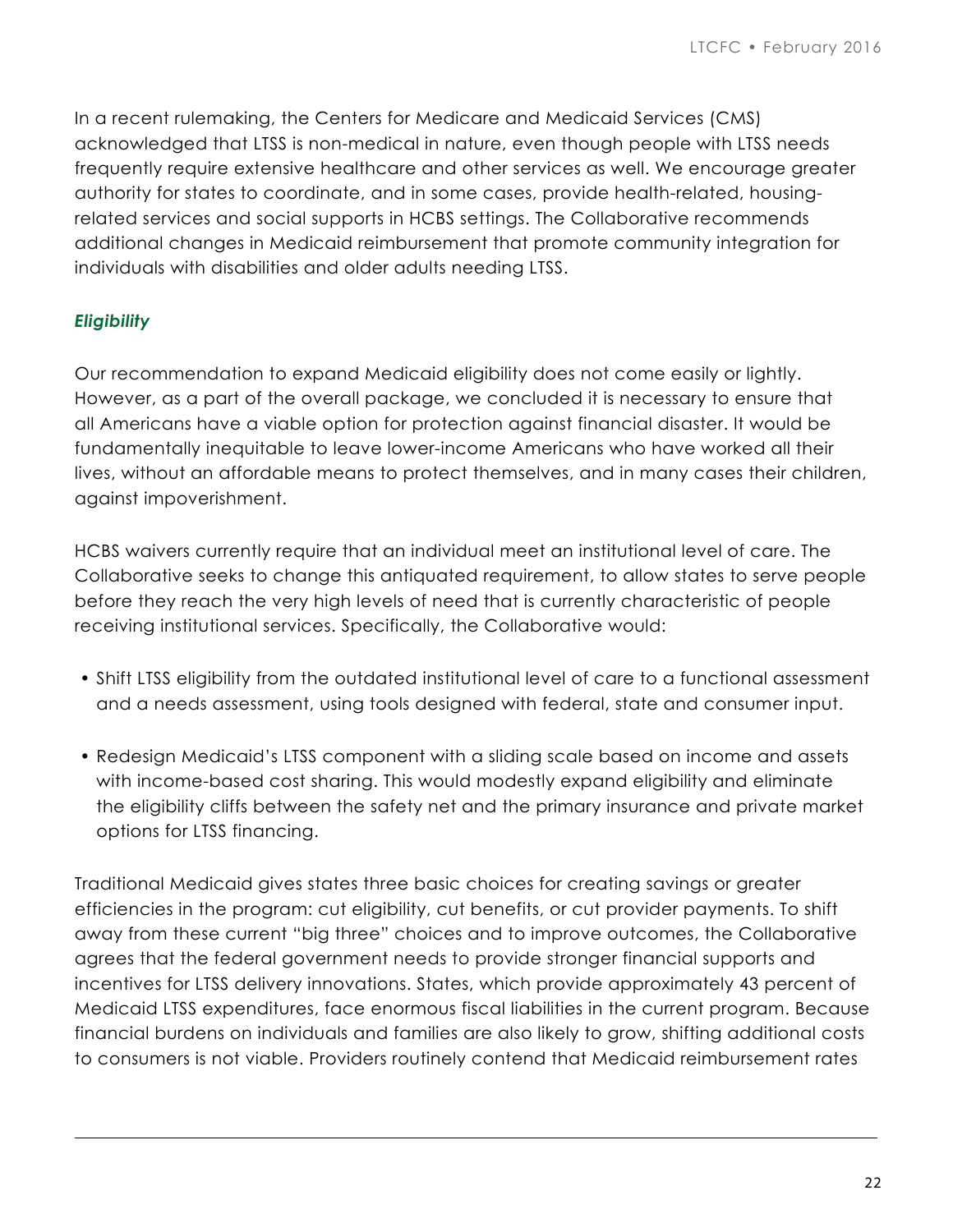In a recent rulemaking, the Centers for Medicare and Medicaid Services (CMS) acknowledged that LTSS is non-medical in nature, even though people with LTSS needs frequently require extensive healthcare and other services as well. We encourage greater authority for states to coordinate, and in some cases, provide health-related, housingrelated services and social supports in HCBS settings. The Collaborative recommends additional changes in Medicaid reimbursement that promote community integration for individuals with disabilities and older adults needing LTSS.

#### *Eligibility*

Our recommendation to expand Medicaid eligibility does not come easily or lightly. However, as a part of the overall package, we concluded it is necessary to ensure that all Americans have a viable option for protection against financial disaster. It would be fundamentally inequitable to leave lower-income Americans who have worked all their lives, without an affordable means to protect themselves, and in many cases their children, against impoverishment.

HCBS waivers currently require that an individual meet an institutional level of care. The Collaborative seeks to change this antiquated requirement, to allow states to serve people before they reach the very high levels of need that is currently characteristic of people receiving institutional services. Specifically, the Collaborative would:

- Shift LTSS eligibility from the outdated institutional level of care to a functional assessment and a needs assessment, using tools designed with federal, state and consumer input.
- Redesign Medicaid's LTSS component with a sliding scale based on income and assets with income-based cost sharing. This would modestly expand eligibility and eliminate the eligibility cliffs between the safety net and the primary insurance and private market options for LTSS financing.

Traditional Medicaid gives states three basic choices for creating savings or greater efficiencies in the program: cut eligibility, cut benefits, or cut provider payments. To shift away from these current "big three" choices and to improve outcomes, the Collaborative agrees that the federal government needs to provide stronger financial supports and incentives for LTSS delivery innovations. States, which provide approximately 43 percent of Medicaid LTSS expenditures, face enormous fiscal liabilities in the current program. Because financial burdens on individuals and families are also likely to grow, shifting additional costs to consumers is not viable. Providers routinely contend that Medicaid reimbursement rates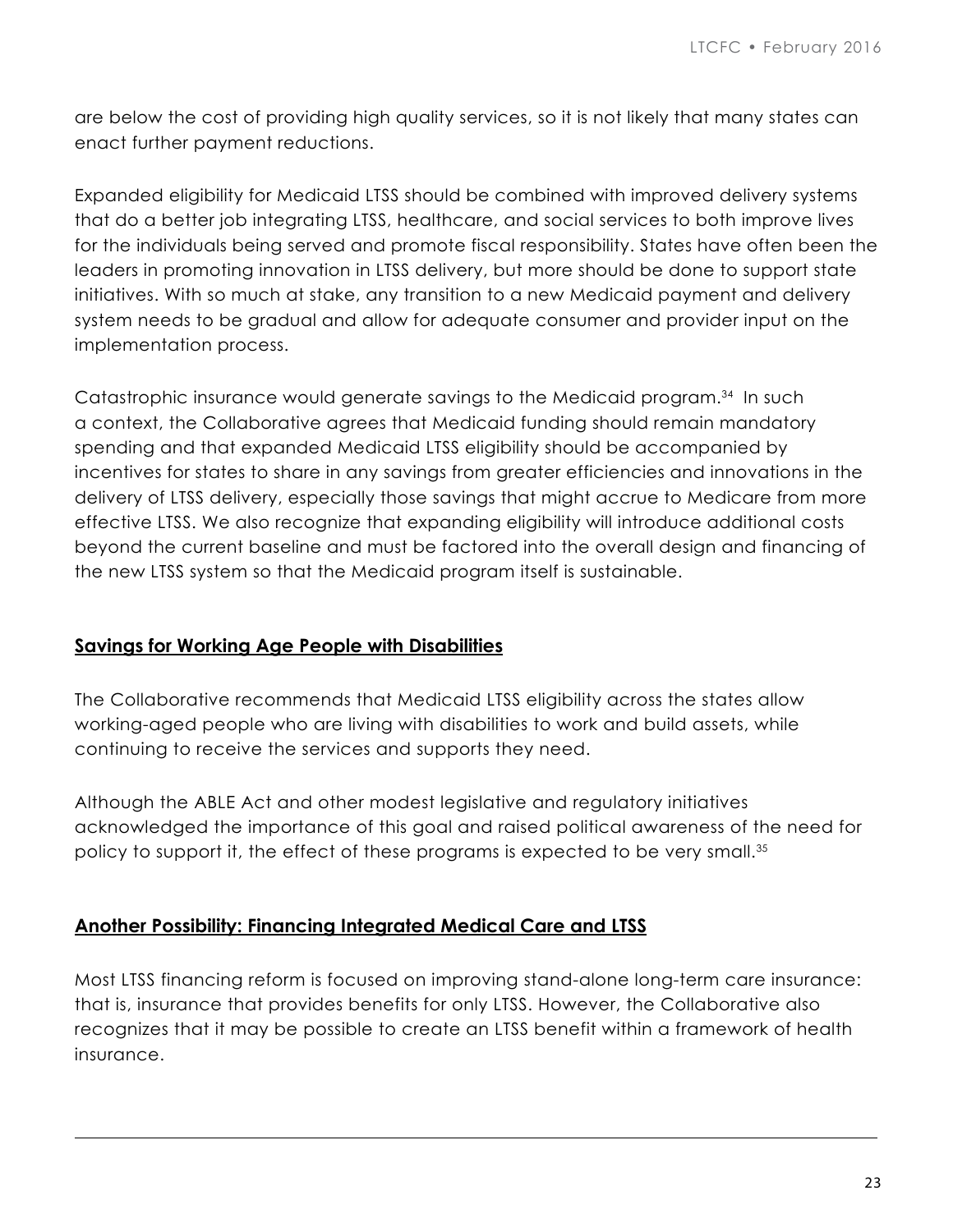are below the cost of providing high quality services, so it is not likely that many states can enact further payment reductions.

Expanded eligibility for Medicaid LTSS should be combined with improved delivery systems that do a better job integrating LTSS, healthcare, and social services to both improve lives for the individuals being served and promote fiscal responsibility. States have often been the leaders in promoting innovation in LTSS delivery, but more should be done to support state initiatives. With so much at stake, any transition to a new Medicaid payment and delivery system needs to be gradual and allow for adequate consumer and provider input on the implementation process.

Catastrophic insurance would generate savings to the Medicaid program.34 In such a context, the Collaborative agrees that Medicaid funding should remain mandatory spending and that expanded Medicaid LTSS eligibility should be accompanied by incentives for states to share in any savings from greater efficiencies and innovations in the delivery of LTSS delivery, especially those savings that might accrue to Medicare from more effective LTSS. We also recognize that expanding eligibility will introduce additional costs beyond the current baseline and must be factored into the overall design and financing of the new LTSS system so that the Medicaid program itself is sustainable.

## **Savings for Working Age People with Disabilities**

The Collaborative recommends that Medicaid LTSS eligibility across the states allow working-aged people who are living with disabilities to work and build assets, while continuing to receive the services and supports they need.

Although the ABLE Act and other modest legislative and regulatory initiatives acknowledged the importance of this goal and raised political awareness of the need for policy to support it, the effect of these programs is expected to be very small.<sup>35</sup>

#### **Another Possibility: Financing Integrated Medical Care and LTSS**

Most LTSS financing reform is focused on improving stand-alone long-term care insurance: that is, insurance that provides benefits for only LTSS. However, the Collaborative also recognizes that it may be possible to create an LTSS benefit within a framework of health insurance.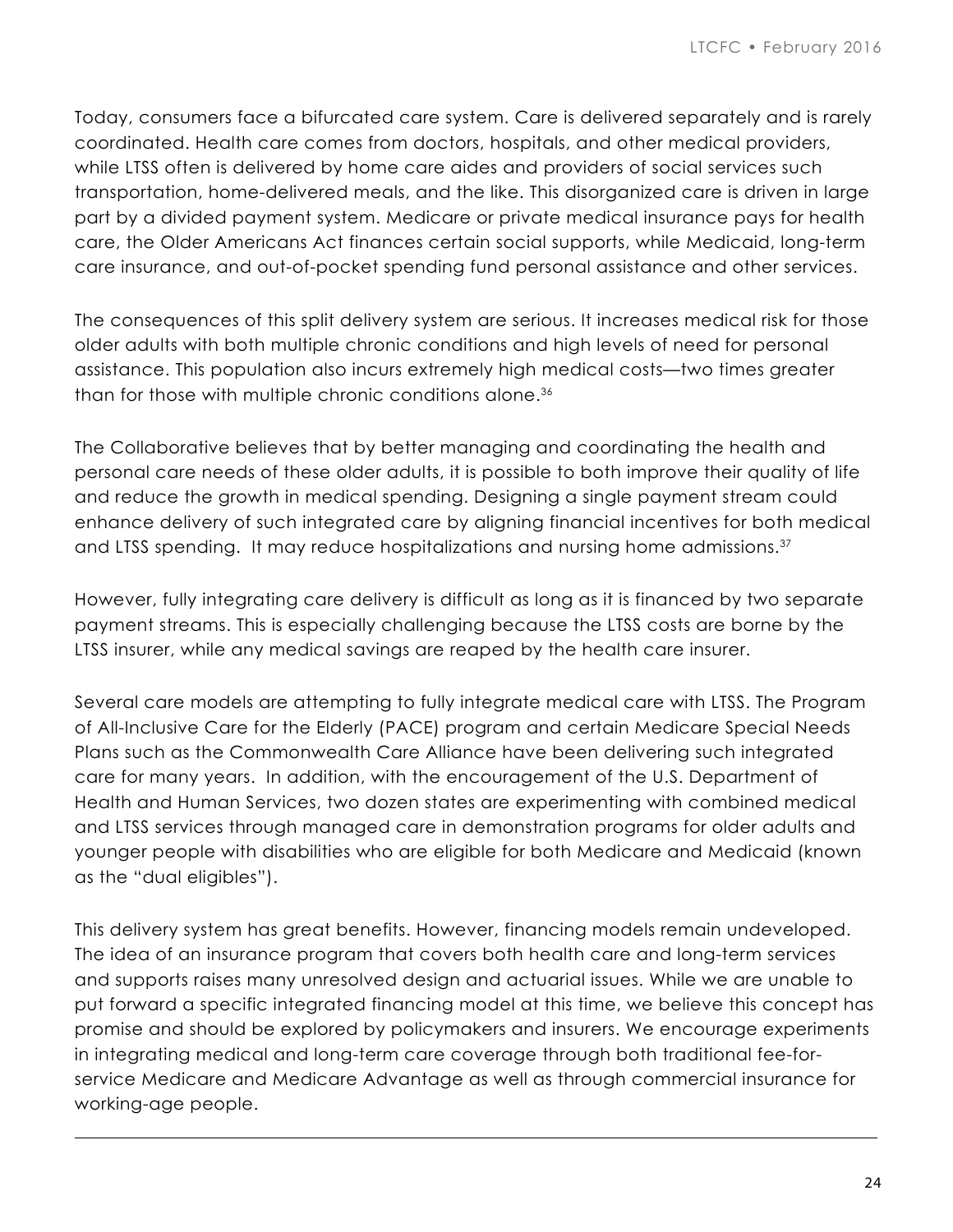Today, consumers face a bifurcated care system. Care is delivered separately and is rarely coordinated. Health care comes from doctors, hospitals, and other medical providers, while LTSS often is delivered by home care aides and providers of social services such transportation, home-delivered meals, and the like. This disorganized care is driven in large part by a divided payment system. Medicare or private medical insurance pays for health care, the Older Americans Act finances certain social supports, while Medicaid, long-term care insurance, and out-of-pocket spending fund personal assistance and other services.

The consequences of this split delivery system are serious. It increases medical risk for those older adults with both multiple chronic conditions and high levels of need for personal assistance. This population also incurs extremely high medical costs—two times greater than for those with multiple chronic conditions alone.36

The Collaborative believes that by better managing and coordinating the health and personal care needs of these older adults, it is possible to both improve their quality of life and reduce the growth in medical spending. Designing a single payment stream could enhance delivery of such integrated care by aligning financial incentives for both medical and LTSS spending. It may reduce hospitalizations and nursing home admissions.<sup>37</sup>

However, fully integrating care delivery is difficult as long as it is financed by two separate payment streams. This is especially challenging because the LTSS costs are borne by the LTSS insurer, while any medical savings are reaped by the health care insurer.

Several care models are attempting to fully integrate medical care with LTSS. The Program of All-Inclusive Care for the Elderly (PACE) program and certain Medicare Special Needs Plans such as the Commonwealth Care Alliance have been delivering such integrated care for many years. In addition, with the encouragement of the U.S. Department of Health and Human Services, two dozen states are experimenting with combined medical and LTSS services through managed care in demonstration programs for older adults and younger people with disabilities who are eligible for both Medicare and Medicaid (known as the "dual eligibles").

This delivery system has great benefits. However, financing models remain undeveloped. The idea of an insurance program that covers both health care and long-term services and supports raises many unresolved design and actuarial issues. While we are unable to put forward a specific integrated financing model at this time, we believe this concept has promise and should be explored by policymakers and insurers. We encourage experiments in integrating medical and long-term care coverage through both traditional fee-forservice Medicare and Medicare Advantage as well as through commercial insurance for working-age people.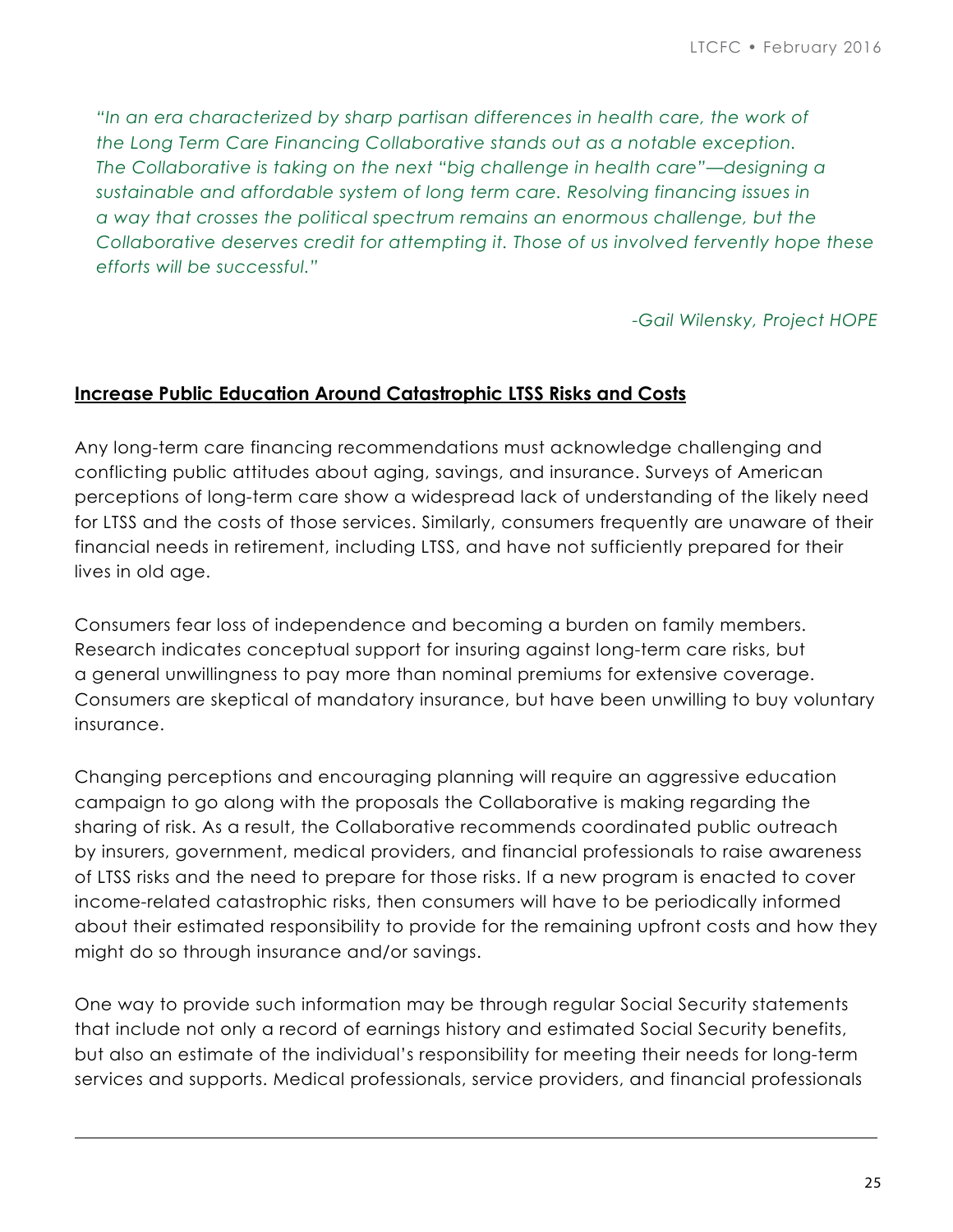*"In an era characterized by sharp partisan differences in health care, the work of the Long Term Care Financing Collaborative stands out as a notable exception. The Collaborative is taking on the next "big challenge in health care"—designing a sustainable and affordable system of long term care. Resolving financing issues in a way that crosses the political spectrum remains an enormous challenge, but the Collaborative deserves credit for attempting it. Those of us involved fervently hope these efforts will be successful."* 

*-Gail Wilensky, Project HOPE*

#### **Increase Public Education Around Catastrophic LTSS Risks and Costs**

Any long-term care financing recommendations must acknowledge challenging and conflicting public attitudes about aging, savings, and insurance. Surveys of American perceptions of long-term care show a widespread lack of understanding of the likely need for LTSS and the costs of those services. Similarly, consumers frequently are unaware of their financial needs in retirement, including LTSS, and have not sufficiently prepared for their lives in old age.

Consumers fear loss of independence and becoming a burden on family members. Research indicates conceptual support for insuring against long-term care risks, but a general unwillingness to pay more than nominal premiums for extensive coverage. Consumers are skeptical of mandatory insurance, but have been unwilling to buy voluntary insurance.

Changing perceptions and encouraging planning will require an aggressive education campaign to go along with the proposals the Collaborative is making regarding the sharing of risk. As a result, the Collaborative recommends coordinated public outreach by insurers, government, medical providers, and financial professionals to raise awareness of LTSS risks and the need to prepare for those risks. If a new program is enacted to cover income-related catastrophic risks, then consumers will have to be periodically informed about their estimated responsibility to provide for the remaining upfront costs and how they might do so through insurance and/or savings.

One way to provide such information may be through regular Social Security statements that include not only a record of earnings history and estimated Social Security benefits, but also an estimate of the individual's responsibility for meeting their needs for long-term services and supports. Medical professionals, service providers, and financial professionals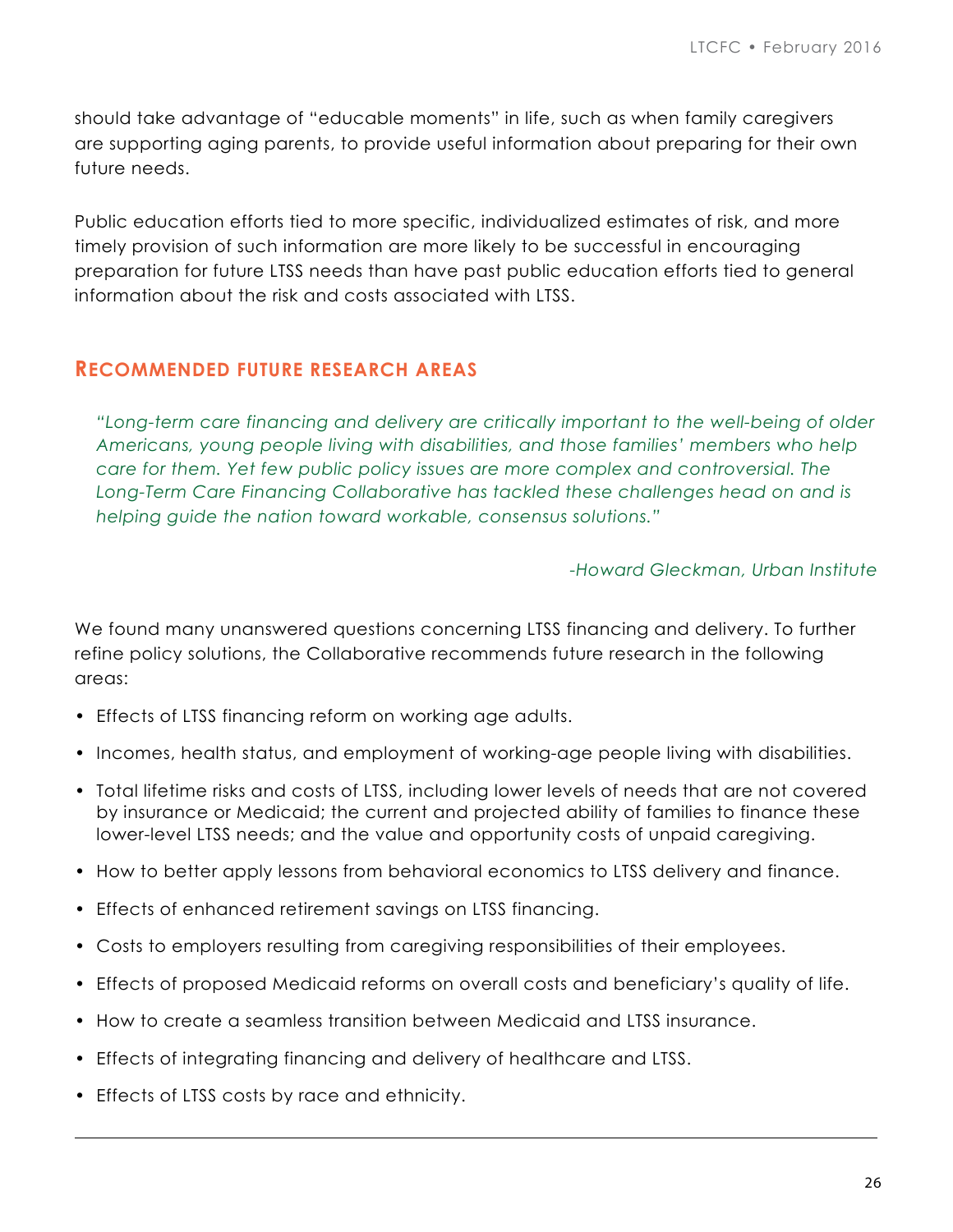should take advantage of "educable moments" in life, such as when family caregivers are supporting aging parents, to provide useful information about preparing for their own future needs.

Public education efforts tied to more specific, individualized estimates of risk, and more timely provision of such information are more likely to be successful in encouraging preparation for future LTSS needs than have past public education efforts tied to general information about the risk and costs associated with LTSS.

## **RECOMMENDED FUTURE RESEARCH AREAS**

*"Long-term care financing and delivery are critically important to the well-being of older Americans, young people living with disabilities, and those families' members who help care for them. Yet few public policy issues are more complex and controversial. The Long-Term Care Financing Collaborative has tackled these challenges head on and is helping guide the nation toward workable, consensus solutions."* 

#### *-Howard Gleckman, Urban Institute*

We found many unanswered questions concerning LTSS financing and delivery. To further refine policy solutions, the Collaborative recommends future research in the following areas:

- Effects of LTSS financing reform on working age adults.
- Incomes, health status, and employment of working-age people living with disabilities.
- Total lifetime risks and costs of LTSS, including lower levels of needs that are not covered by insurance or Medicaid; the current and projected ability of families to finance these lower-level LTSS needs; and the value and opportunity costs of unpaid caregiving.
- How to better apply lessons from behavioral economics to LTSS delivery and finance.
- Effects of enhanced retirement savings on LTSS financing.
- Costs to employers resulting from caregiving responsibilities of their employees.
- Effects of proposed Medicaid reforms on overall costs and beneficiary's quality of life.
- How to create a seamless transition between Medicaid and LTSS insurance.
- Effects of integrating financing and delivery of healthcare and LTSS.
- Effects of LTSS costs by race and ethnicity.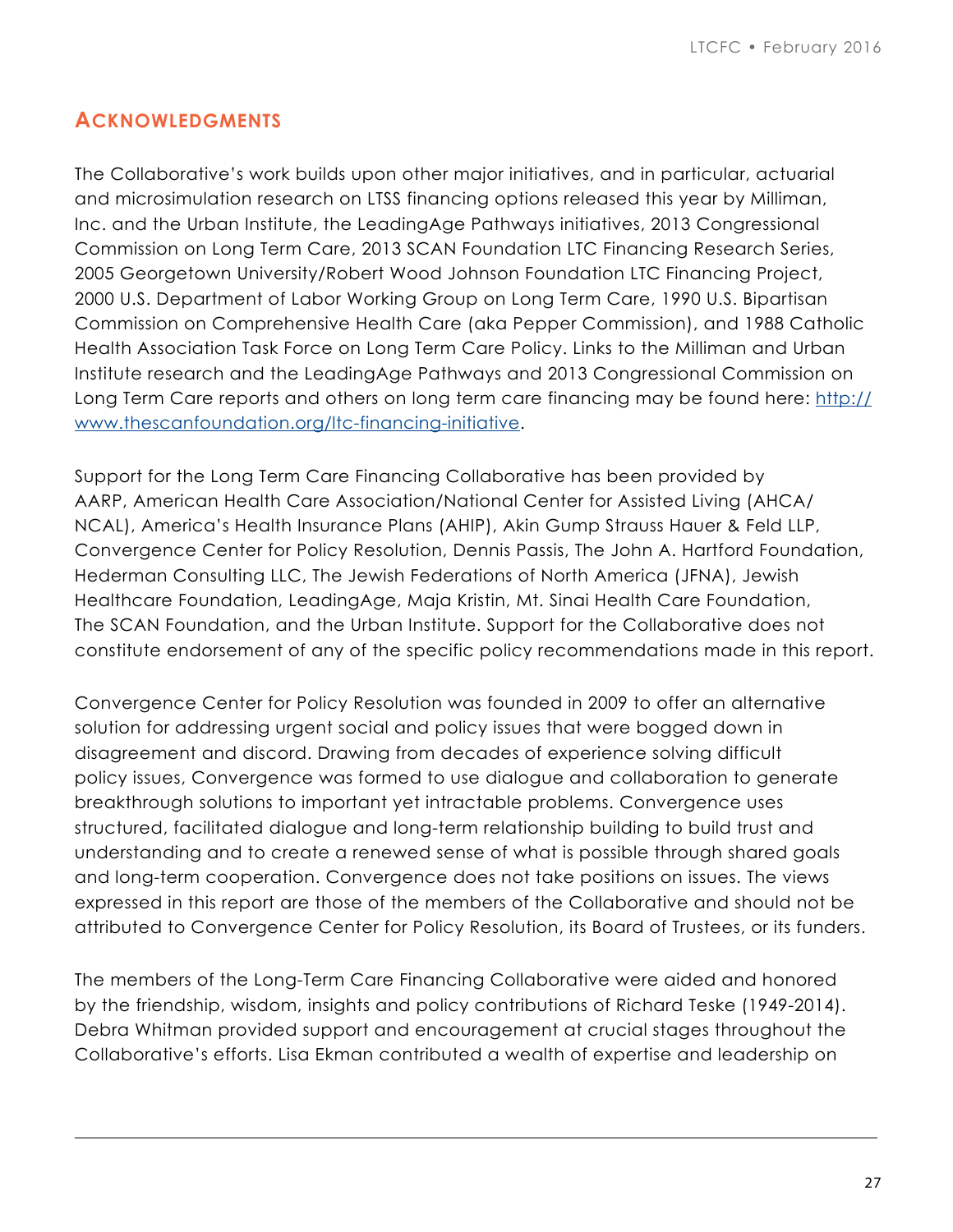# **ACKNOWLEDGMENTS**

The Collaborative's work builds upon other major initiatives, and in particular, actuarial and microsimulation research on LTSS financing options released this year by Milliman, Inc. and the Urban Institute, the LeadingAge Pathways initiatives, 2013 Congressional Commission on Long Term Care, 2013 SCAN Foundation LTC Financing Research Series, 2005 Georgetown University/Robert Wood Johnson Foundation LTC Financing Project, 2000 U.S. Department of Labor Working Group on Long Term Care, 1990 U.S. Bipartisan Commission on Comprehensive Health Care (aka Pepper Commission), and 1988 Catholic Health Association Task Force on Long Term Care Policy. Links to the Milliman and Urban Institute research and the LeadingAge Pathways and 2013 Congressional Commission on Long Term Care reports and others on long term care financing may be found here: [http://](http://www.thescanfoundation.org/ltc-financing-initiative) [www.thescanfoundation.org/ltc-financing-initiative](http://www.thescanfoundation.org/ltc-financing-initiative).

Support for the Long Term Care Financing Collaborative has been provided by AARP, American Health Care Association/National Center for Assisted Living (AHCA/ NCAL), America's Health Insurance Plans (AHIP), Akin Gump Strauss Hauer & Feld LLP, Convergence Center for Policy Resolution, Dennis Passis, The John A. Hartford Foundation, Hederman Consulting LLC, The Jewish Federations of North America (JFNA), Jewish Healthcare Foundation, LeadingAge, Maja Kristin, Mt. Sinai Health Care Foundation, The SCAN Foundation, and the Urban Institute. Support for the Collaborative does not constitute endorsement of any of the specific policy recommendations made in this report.

Convergence Center for Policy Resolution was founded in 2009 to offer an alternative solution for addressing urgent social and policy issues that were bogged down in disagreement and discord. Drawing from decades of experience solving difficult policy issues, Convergence was formed to use dialogue and collaboration to generate breakthrough solutions to important yet intractable problems. Convergence uses structured, facilitated dialogue and long-term relationship building to build trust and understanding and to create a renewed sense of what is possible through shared goals and long-term cooperation. Convergence does not take positions on issues. The views expressed in this report are those of the members of the Collaborative and should not be attributed to Convergence Center for Policy Resolution, its Board of Trustees, or its funders.

The members of the Long-Term Care Financing Collaborative were aided and honored by the friendship, wisdom, insights and policy contributions of Richard Teske (1949-2014). Debra Whitman provided support and encouragement at crucial stages throughout the Collaborative's efforts. Lisa Ekman contributed a wealth of expertise and leadership on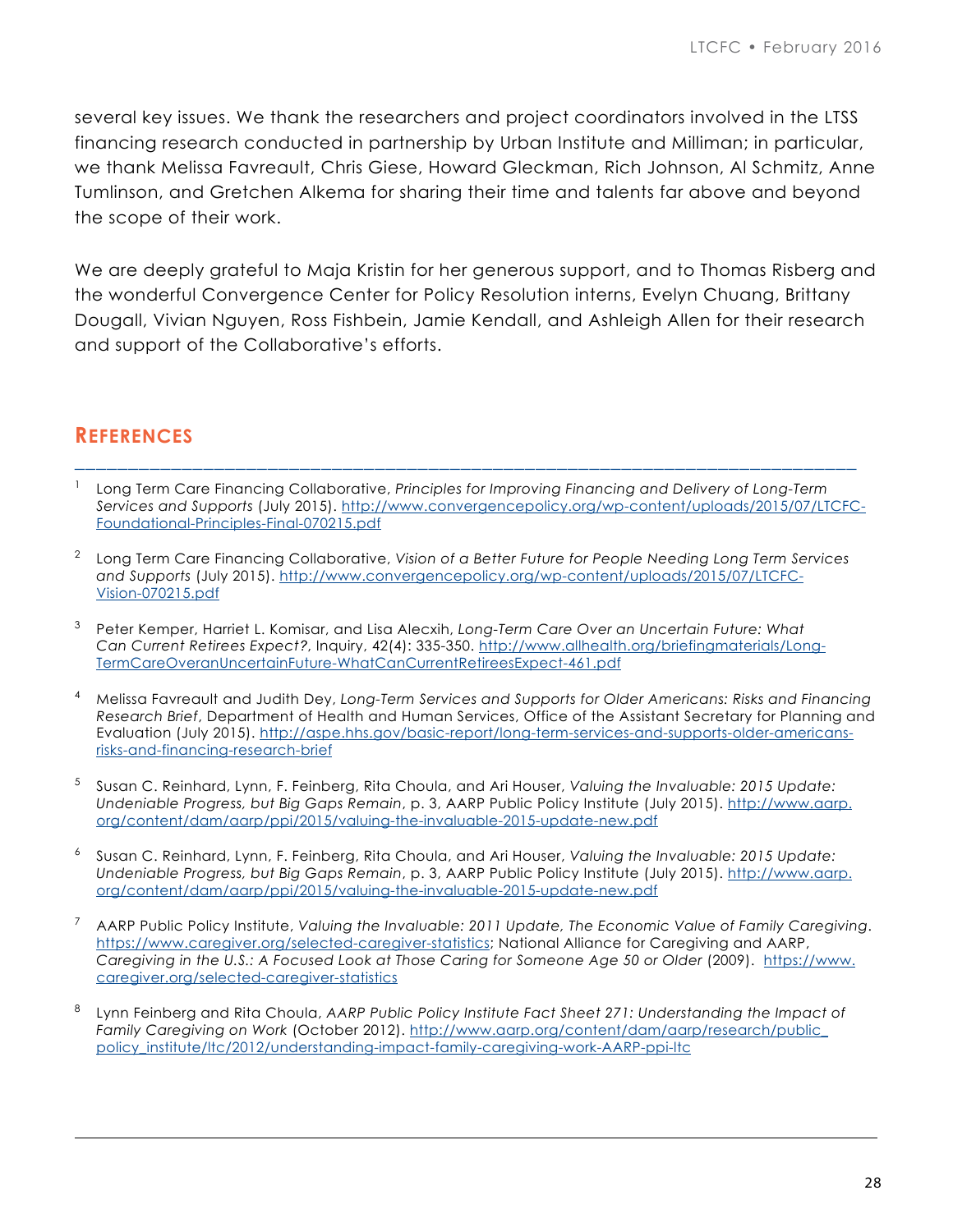several key issues. We thank the researchers and project coordinators involved in the LTSS financing research conducted in partnership by Urban Institute and Milliman; in particular, we thank Melissa Favreault, Chris Giese, Howard Gleckman, Rich Johnson, Al Schmitz, Anne Tumlinson, and Gretchen Alkema for sharing their time and talents far above and beyond the scope of their work.

We are deeply grateful to Maja Kristin for her generous support, and to Thomas Risberg and the wonderful Convergence Center for Policy Resolution interns, Evelyn Chuang, Brittany Dougall, Vivian Nguyen, Ross Fishbein, Jamie Kendall, and Ashleigh Allen for their research and support of the Collaborative's efforts.

# **REFERENCES**

<sup>1</sup> Long Term Care Financing Collaborative, *Principles for Improving Financing and Delivery of Long-Term Services and Supports* (July 2015). [http://www.convergencepolicy.org/wp-content/uploads/2015/07/LTCFC-](http://www.convergencepolicy.org/wp-content/uploads/2015/07/LTCFC-Foundational-Principles-Final-070215.pdf)[Foundational-Principles-Final-070215.pdf](http://www.convergencepolicy.org/wp-content/uploads/2015/07/LTCFC-Foundational-Principles-Final-070215.pdf)

\_\_\_\_\_\_\_\_\_\_\_\_\_\_\_\_\_\_\_\_\_\_\_\_\_\_\_\_\_\_\_\_\_\_\_\_\_\_\_\_\_\_\_\_\_\_\_\_\_\_\_\_\_\_\_\_\_\_\_\_\_\_\_\_\_\_\_\_\_\_\_\_\_

- <sup>2</sup> Long Term Care Financing Collaborative, *Vision of a Better Future for People Needing Long Term Services and Supports* (July 2015). [http://www.convergencepolicy.org/wp-content/uploads/2015/07/LTCFC-](http://www.convergencepolicy.org/wp-content/uploads/2015/07/LTCFC-Vision-070215.pdf)[Vision-070215.pdf](http://www.convergencepolicy.org/wp-content/uploads/2015/07/LTCFC-Vision-070215.pdf)
- <sup>3</sup> Peter Kemper, Harriet L. Komisar, and Lisa Alecxih, *Long-Term Care Over an Uncertain Future: What Can Current Retirees Expect?*, Inquiry, 42(4): 335-350. [http://www.allhealth.org/briefingmaterials/Long-](http://www.allhealth.org/briefingmaterials/Long-TermCareOveranUncertainFuture-WhatCanCurrentRetireesExpect-461.pdf)Ter[mCareOveranUncertainFuture-WhatCanCurrentRetireesExpect-461.pdf](http://www.allhealth.org/briefingmaterials/Long-TermCareOveranUncertainFuture-WhatCanCurrentRetireesExpect-461.pdf)
- <sup>4</sup> Melissa Favreault and Judith Dey, *Long-Term Services and Supports for Older Americans: Risks and Financing Research Brief*, Department of Health and Human Services, Office of the Assistant Secretary for Planning and Evaluation (July 2015). [http://aspe.hhs.gov/basic-report/long-term-services-and-supports-older-americans](https://aspe.hhs.gov/basic-report/long-term-services-and-supports-older-americans-risks-and-financing-research-brief)[risks-and-financing-research-brief](https://aspe.hhs.gov/basic-report/long-term-services-and-supports-older-americans-risks-and-financing-research-brief)
- <sup>5</sup> Susan C. Reinhard, Lynn, F. Feinberg, Rita Choula, and Ari Houser, *Valuing the Invaluable: 2015 Update: Undeniable Progress, but Big Gaps Remain*, p. 3, AARP Public Policy Institute (July 2015). [http://www.aarp.](http://www.aarp.org/content/dam/aarp/ppi/2015/valuing-the-invaluable-2015-update-new.pdf) org[/content/dam/aarp/ppi/2015/valuing-the-invaluable-2015-update-new.pdf](http://www.aarp.org/content/dam/aarp/ppi/2015/valuing-the-invaluable-2015-update-new.pdf)
- <sup>6</sup> Susan C. Reinhard, Lynn, F. Feinberg, Rita Choula, and Ari Houser, *Valuing the Invaluable: 2015 Update: Undeniable Progress, but Big Gaps Remain*, p. 3, AARP Public Policy Institute (July 2015). [http://www.aarp.](http://www.aarp.org/content/dam/aarp/ppi/2015/valuing-the-invaluable-2015-update-new.pdf) org[/content/dam/aarp/ppi/2015/valuing-the-invaluable-2015-update-new.pdf](http://www.aarp.org/content/dam/aarp/ppi/2015/valuing-the-invaluable-2015-update-new.pdf)
- <sup>7</sup> AARP Public Policy Institute, *Valuing the Invaluable: 2011 Update, The Economic Value of Family Caregiving*. [https://www.caregiver.org/selected-caregiver-statistics;](https://www.caregiver.org/selected-caregiver-statistics) National Alliance for Caregiving and AARP, *Caregiving in the U.S.: A Focused Look at Those Caring for Someone Age 50 or Older* (2009). [https://www.](https://www.caregiver.org/selected-caregiver-statistics) [caregiver.org/selected-caregiver-statistics](https://www.caregiver.org/selected-caregiver-statistics)
- <sup>8</sup> Lynn Feinberg and Rita Choula, *AARP Public Policy Institute Fact Sheet 271: Understanding the Impact of Family Caregiving on Work* (October 2012). [http://www.aarp.org/content/dam/aarp/research/public\\_](http://www.aarp.org/home-family/caregiving/info-10-2012/understanding-the-impact-of-family-caregiving-and-work-fs-AARP-ppi-ltc.html) policy\_institu[te/ltc/2012/understanding-impact-family-caregiving-work-AARP-ppi-ltc](http://www.aarp.org/home-family/caregiving/info-10-2012/understanding-the-impact-of-family-caregiving-and-work-fs-AARP-ppi-ltc.html)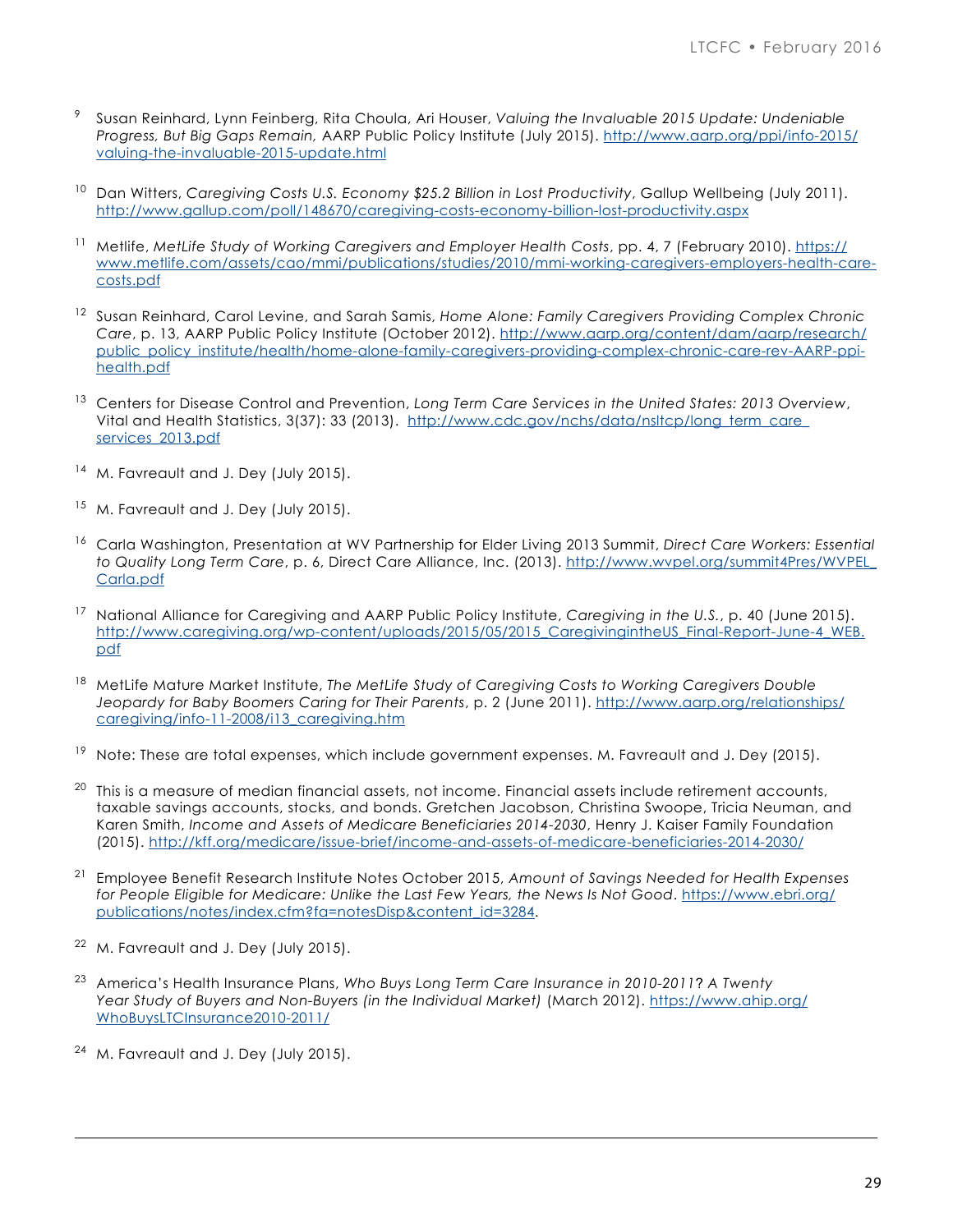- <sup>9</sup> Susan Reinhard, Lynn Feinberg, Rita Choula, Ari Houser, *Valuing the Invaluable 2015 Update: Undeniable Progress, But Big Gaps Remain,* AARP Public Policy Institute (July 2015). [http://www.aarp.org/ppi/info-2015/](http://www.aarp.org/ppi/info-2015/valuing-the-invaluable-2015-update.html) [valuing-the-invaluable-2015-update.html](http://www.aarp.org/ppi/info-2015/valuing-the-invaluable-2015-update.html)
- <sup>10</sup> Dan Witters, *Caregiving Costs U.S. Economy \$25.2 Billion in Lost Productivity*, Gallup Wellbeing (July 2011). htt[p://www.gallup.com/poll/148670/caregiving-costs-economy-billion-lost-productivity.aspx](http://www.gallup.com/poll/148670/caregiving-costs-economy-billion-lost-productivity.aspx)
- <sup>11</sup> Metlife, MetLife Study of Working Caregivers and Employer Health Costs, pp. 4, 7 (February 2010). [https://](https://www.metlife.com/assets/cao/mmi/publications/studies/2010/mmi-working-caregivers-employers-health-care-costs.pdf) [www.metlife.com/assets/cao/mmi/publications/studies/2010/mmi-working-caregivers-employers-health-care](https://www.metlife.com/assets/cao/mmi/publications/studies/2010/mmi-working-caregivers-employers-health-care-costs.pdf)[costs.pdf](https://www.metlife.com/assets/cao/mmi/publications/studies/2010/mmi-working-caregivers-employers-health-care-costs.pdf)
- <sup>12</sup> Susan Reinhard, Carol Levine, and Sarah Samis, *Home Alone: Family Caregivers Providing Complex Chronic Care*, p. 13, AARP Public Policy Institute (October 2012). [http://www.aarp.org/content/dam/aarp/research/](http://www.aarp.org/content/dam/aarp/research/public_policy_institute/health/home-alone-family-caregivers-providing-complex-chronic-care-rev-AARP-ppi-health.pdf) [public\\_policy\\_institute/health/home-alone-family-caregivers-providing-complex-chronic-care-rev-AARP-ppi](http://www.aarp.org/content/dam/aarp/research/public_policy_institute/health/home-alone-family-caregivers-providing-complex-chronic-care-rev-AARP-ppi-health.pdf)[health.pdf](http://www.aarp.org/content/dam/aarp/research/public_policy_institute/health/home-alone-family-caregivers-providing-complex-chronic-care-rev-AARP-ppi-health.pdf)
- <sup>13</sup> Centers for Disease Control and Prevention, *Long Term Care Services in the United States: 2013 Overview*, Vital and Health Statistics, 3(37): 33 (2013). [http://www.cdc.gov/nchs/data/nsltcp/long\\_term\\_care\\_](http://www.cdc.gov/nchs/data/nsltcp/long_term_care_services_2013.pdf) serv[ices\\_2013.pdf](http://www.cdc.gov/nchs/data/nsltcp/long_term_care_services_2013.pdf)
- <sup>14</sup> M. Favreault and J. Dev (July 2015).
- <sup>15</sup> M. Favreault and J. Dey (July 2015).
- <sup>16</sup> Carla Washington, Presentation at WV Partnership for Elder Living 2013 Summit, *Direct Care Workers: Essential to Quality Long Term Care*, p. 6, Direct Care Alliance, Inc. (2013). [http://www.wvpel.org/summit4Pres/WVPEL\\_](http://www.wvpel.org/summit4Pres/WVPEL_Carla.pdf) [Carla.pdf](http://www.wvpel.org/summit4Pres/WVPEL_Carla.pdf)
- <sup>17</sup> National Alliance for Caregiving and AARP Public Policy Institute, *Caregiving in the U.S.*, p. 40 (June 2015). [http://www.caregiving.org/wp-content/uploads/2015/05/2015\\_CaregivingintheUS\\_Final-Report-June-4\\_WEB.](http://www.caregiving.org/wp-content/uploads/2015/05/2015_CaregivingintheUS_Final-Report-June-4_WEB.pdf) [pdf](http://www.caregiving.org/wp-content/uploads/2015/05/2015_CaregivingintheUS_Final-Report-June-4_WEB.pdf)
- <sup>18</sup> MetLife Mature Market Institute, *The MetLife Study of Caregiving Costs to Working Caregivers Double Jeopardy for Baby Boomers Caring for Their Parents*, p. 2 (June 2011). [http://www.aarp.org/relationships/](http://www.aarp.org/relationships/caregiving/info-11-2008/i13_caregiving.htm) car[egiving/info-11-2008/i13\\_caregiving.htm](http://www.aarp.org/relationships/caregiving/info-11-2008/i13_caregiving.htm)
- $19$  Note: These are total expenses, which include government expenses. M. Favreault and J. Dey (2015).
- This is a measure of median financial assets, not income. Financial assets include retirement accounts, taxable savings accounts, stocks, and bonds. Gretchen Jacobson, Christina Swoope, Tricia Neuman, and Karen Smith, *Income and Assets of Medicare Beneficiaries 2014-2030*, Henry J. Kaiser Family Foundation (2015). <http://kff.org/medicare/issue-brief/income-and-assets-of-medicare-beneficiaries-2014-2030/>
- <sup>21</sup> Employee Benefit Research Institute Notes October 2015, *Amount of Savings Needed for Health Expenses for People Eligible for Medicare: Unlike the Last Few Years, the News Is Not Good*. [https://www.ebri.org/](https://www.ebri.org/publications/notes/index.cfm?fa=notesDisp&content_id=3284) pu[blications/notes/index.cfm?fa=notesDisp&content\\_id=3284](https://www.ebri.org/publications/notes/index.cfm?fa=notesDisp&content_id=3284).
- M. Favreault and J. Dey (July 2015).
- <sup>23</sup> America's Health Insurance Plans, *Who Buys Long Term Care Insurance in 2010-2011*? *A Twenty Year Study of Buyers and Non-Buyers (in the Individual Market)* (March 2012). [https://www.ahip.org/](https://www.ahip.org/WhoBuysLTCInsurance2010-2011/) [WhoBuysLTCInsurance2010-2011/](https://www.ahip.org/WhoBuysLTCInsurance2010-2011/)
- M. Favreault and J. Dey (July 2015).